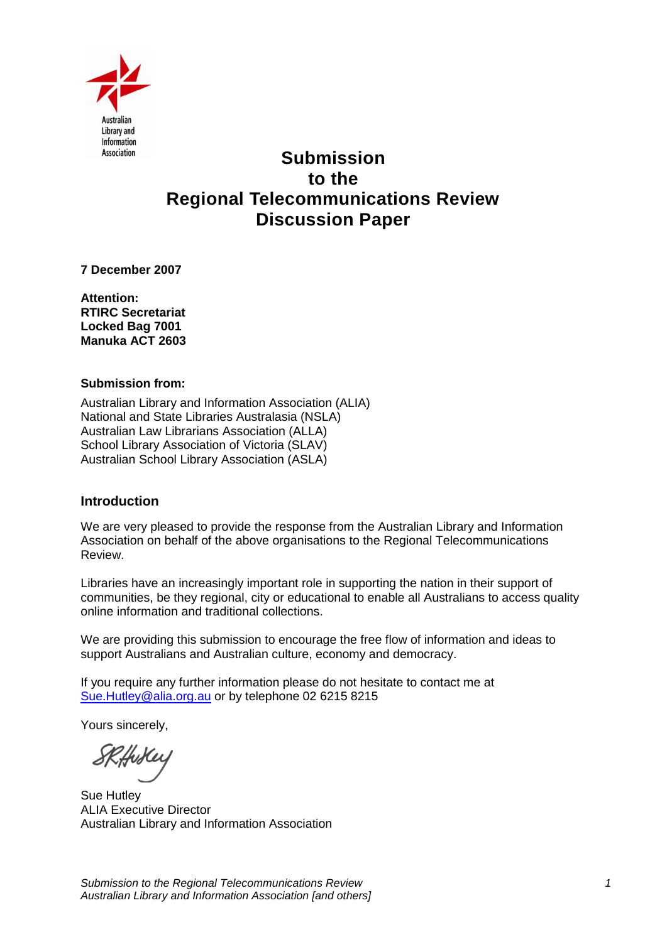

# **Submission to the Regional Telecommunications Review Discussion Paper**

**7 December 2007** 

**Attention: RTIRC Secretariat Locked Bag 7001 Manuka ACT 2603**

#### **Submission from:**

Australian Library and Information Association (ALIA) National and State Libraries Australasia (NSLA) Australian Law Librarians Association (ALLA) School Library Association of Victoria (SLAV) Australian School Library Association (ASLA)

#### **Introduction**

We are very pleased to provide the response from the Australian Library and Information Association on behalf of the above organisations to the Regional Telecommunications Review.

Libraries have an increasingly important role in supporting the nation in their support of communities, be they regional, city or educational to enable all Australians to access quality online information and traditional collections.

We are providing this submission to encourage the free flow of information and ideas to support Australians and Australian culture, economy and democracy.

If you require any further information please do not hesitate to contact me at [Sue.Hutley@alia.org.au](mailto:Sue.Hutley@alia.org.au) or by telephone 02 6215 8215

Yours sincerely,

Sue Hutley ALIA Executive Director Australian Library and Information Association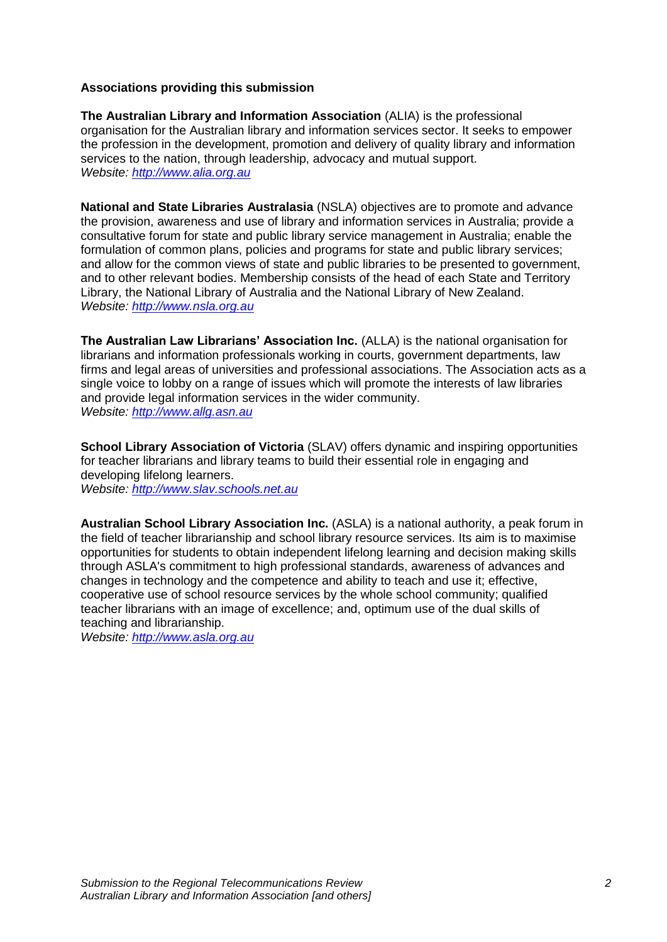#### **Associations providing this submission**

**The Australian Library and Information Association** (ALIA) is the professional organisation for the Australian library and information services sector. It seeks to empower the profession in the development, promotion and delivery of quality library and information services to the nation, through leadership, advocacy and mutual support. *Website: [http://www.alia.org.au](http://www.alia.org.au/)*

**National and State Libraries Australasia** (NSLA) objectives are to promote and advance the provision, awareness and use of library and information services in Australia; provide a consultative forum for state and public library service management in Australia; enable the formulation of common plans, policies and programs for state and public library services; and allow for the common views of state and public libraries to be presented to government, and to other relevant bodies. Membership consists of the head of each State and Territory Library, the National Library of Australia and the National Library of New Zealand. *Website: [http://www.nsla.org.au](http://www.nsla.org.au/)*

**The Australian Law Librarians' Association Inc.** (ALLA) is the national organisation for librarians and information professionals working in courts, government departments, law firms and legal areas of universities and professional associations. The Association acts as a single voice to lobby on a range of issues which will promote the interests of law libraries and provide legal information services in the wider community. *Website: [http://www.allg.asn.au](http://www.allg.asn.au/)*

**School Library Association of Victoria** (SLAV) offers dynamic and inspiring opportunities for teacher librarians and library teams to build their essential role in engaging and developing lifelong learners. *Website: [http://www.slav.schools.net.au](http://www.slav.schools.net.au/)*

**Australian School Library Association Inc.** (ASLA) is a national authority, a peak forum in the field of teacher librarianship and school library resource services. Its aim is to maximise opportunities for students to obtain independent lifelong learning and decision making skills through ASLA's commitment to high professional standards, awareness of advances and changes in technology and the competence and ability to teach and use it; effective, cooperative use of school resource services by the whole school community; qualified teacher librarians with an image of excellence; and, optimum use of the dual skills of teaching and librarianship.

*Website: [http://www.asla.org.au](http://www.asla.org.au/)*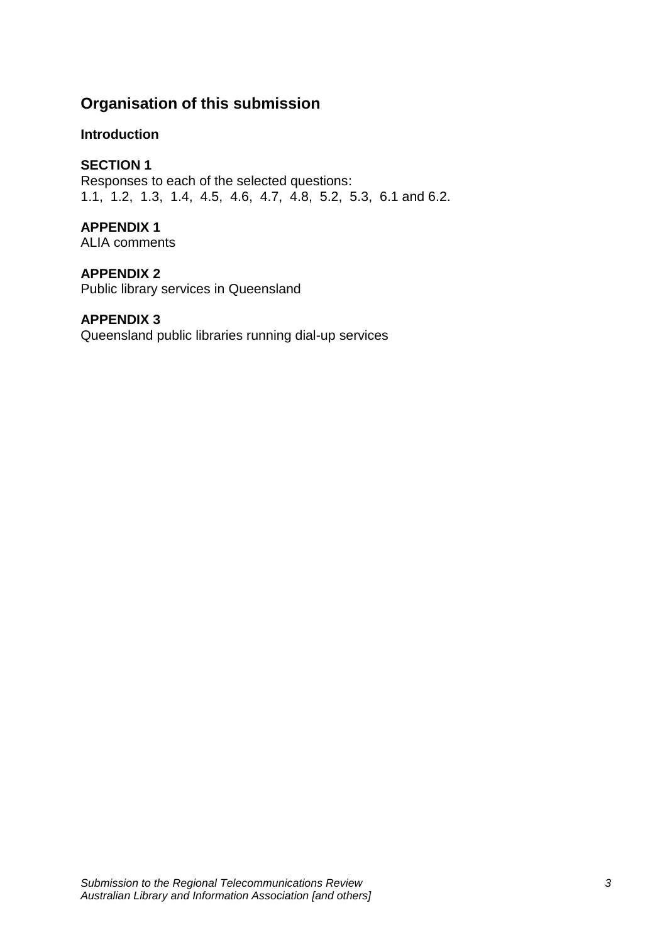# **Organisation of this submission**

# **Introduction**

# **SECTION 1**

Responses to each of the selected questions: 1.1, 1.2, 1.3, 1.4, 4.5, 4.6, 4.7, 4.8, 5.2, 5.3, 6.1 and 6.2.

# **APPENDIX 1**

ALIA comments

## **APPENDIX 2**

Public library services in Queensland

## **APPENDIX 3**

Queensland public libraries running dial-up services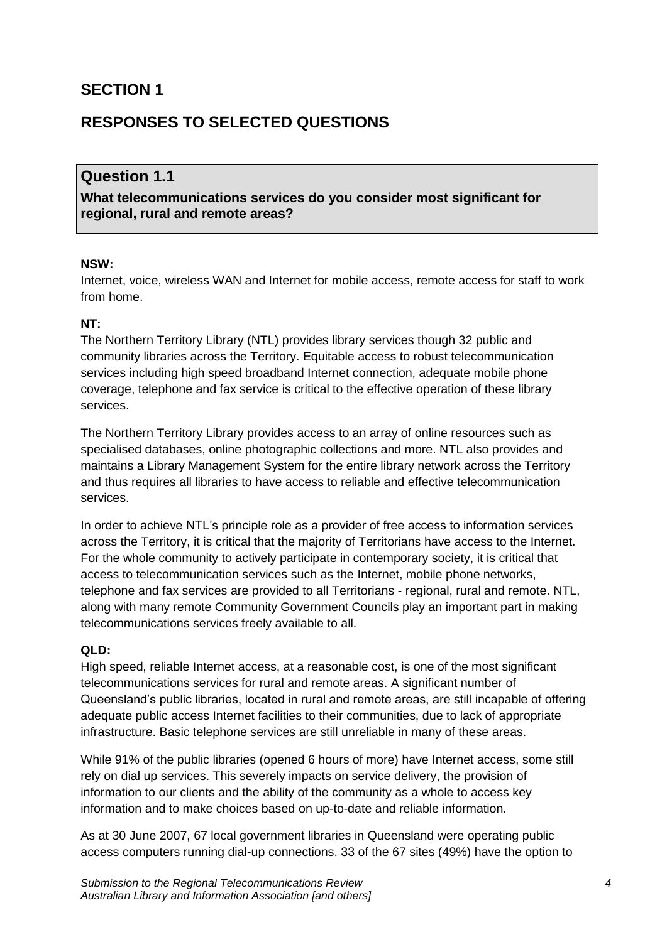# **SECTION 1**

# **RESPONSES TO SELECTED QUESTIONS**

# **Question 1.1**

**What telecommunications services do you consider most significant for regional, rural and remote areas?**

#### **NSW:**

Internet, voice, wireless WAN and Internet for mobile access, remote access for staff to work from home.

#### **NT:**

The Northern Territory Library (NTL) provides library services though 32 public and community libraries across the Territory. Equitable access to robust telecommunication services including high speed broadband Internet connection, adequate mobile phone coverage, telephone and fax service is critical to the effective operation of these library services.

The Northern Territory Library provides access to an array of online resources such as specialised databases, online photographic collections and more. NTL also provides and maintains a Library Management System for the entire library network across the Territory and thus requires all libraries to have access to reliable and effective telecommunication services.

In order to achieve NTL's principle role as a provider of free access to information services across the Territory, it is critical that the majority of Territorians have access to the Internet. For the whole community to actively participate in contemporary society, it is critical that access to telecommunication services such as the Internet, mobile phone networks, telephone and fax services are provided to all Territorians - regional, rural and remote. NTL, along with many remote Community Government Councils play an important part in making telecommunications services freely available to all.

#### **QLD:**

High speed, reliable Internet access, at a reasonable cost, is one of the most significant telecommunications services for rural and remote areas. A significant number of Queensland's public libraries, located in rural and remote areas, are still incapable of offering adequate public access Internet facilities to their communities, due to lack of appropriate infrastructure. Basic telephone services are still unreliable in many of these areas.

While 91% of the public libraries (opened 6 hours of more) have Internet access, some still rely on dial up services. This severely impacts on service delivery, the provision of information to our clients and the ability of the community as a whole to access key information and to make choices based on up-to-date and reliable information.

As at 30 June 2007, 67 local government libraries in Queensland were operating public access computers running dial-up connections. 33 of the 67 sites (49%) have the option to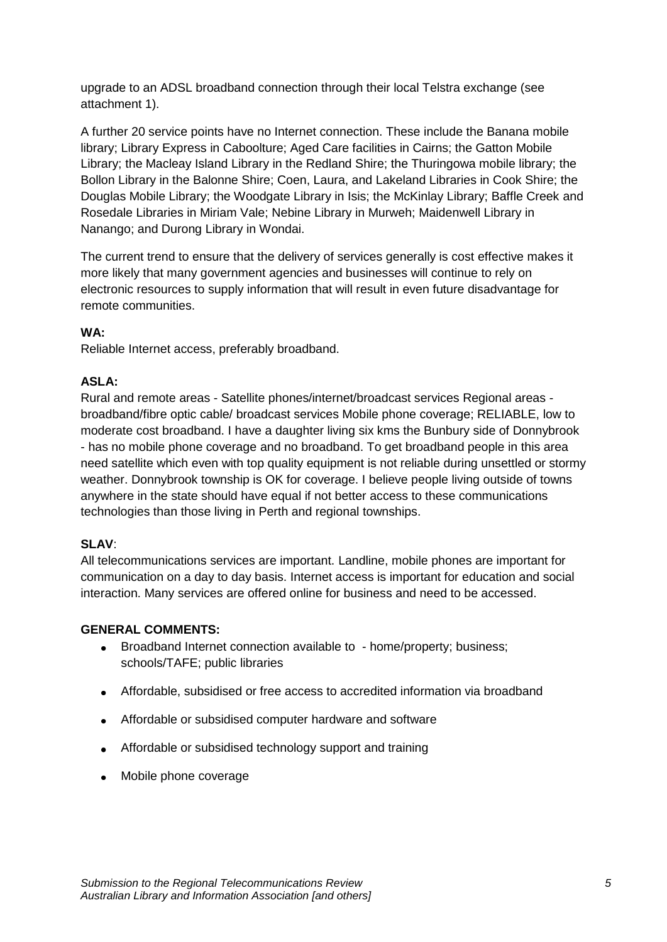upgrade to an ADSL broadband connection through their local Telstra exchange (see attachment 1).

A further 20 service points have no Internet connection. These include the Banana mobile library; Library Express in Caboolture; Aged Care facilities in Cairns; the Gatton Mobile Library; the Macleay Island Library in the Redland Shire; the Thuringowa mobile library; the Bollon Library in the Balonne Shire; Coen, Laura, and Lakeland Libraries in Cook Shire; the Douglas Mobile Library; the Woodgate Library in Isis; the McKinlay Library; Baffle Creek and Rosedale Libraries in Miriam Vale; Nebine Library in Murweh; Maidenwell Library in Nanango; and Durong Library in Wondai.

The current trend to ensure that the delivery of services generally is cost effective makes it more likely that many government agencies and businesses will continue to rely on electronic resources to supply information that will result in even future disadvantage for remote communities.

#### **WA:**

Reliable Internet access, preferably broadband.

#### **ASLA:**

Rural and remote areas - Satellite phones/internet/broadcast services Regional areas broadband/fibre optic cable/ broadcast services Mobile phone coverage; RELIABLE, low to moderate cost broadband. I have a daughter living six kms the Bunbury side of Donnybrook - has no mobile phone coverage and no broadband. To get broadband people in this area need satellite which even with top quality equipment is not reliable during unsettled or stormy weather. Donnybrook township is OK for coverage. I believe people living outside of towns anywhere in the state should have equal if not better access to these communications technologies than those living in Perth and regional townships.

#### **SLAV**:

All telecommunications services are important. Landline, mobile phones are important for communication on a day to day basis. Internet access is important for education and social interaction. Many services are offered online for business and need to be accessed.

#### **GENERAL COMMENTS:**

- Broadband Internet connection available to home/property; business;  $\bullet$ schools/TAFE; public libraries
- Affordable, subsidised or free access to accredited information via broadband
- Affordable or subsidised computer hardware and software
- Affordable or subsidised technology support and training
- Mobile phone coverage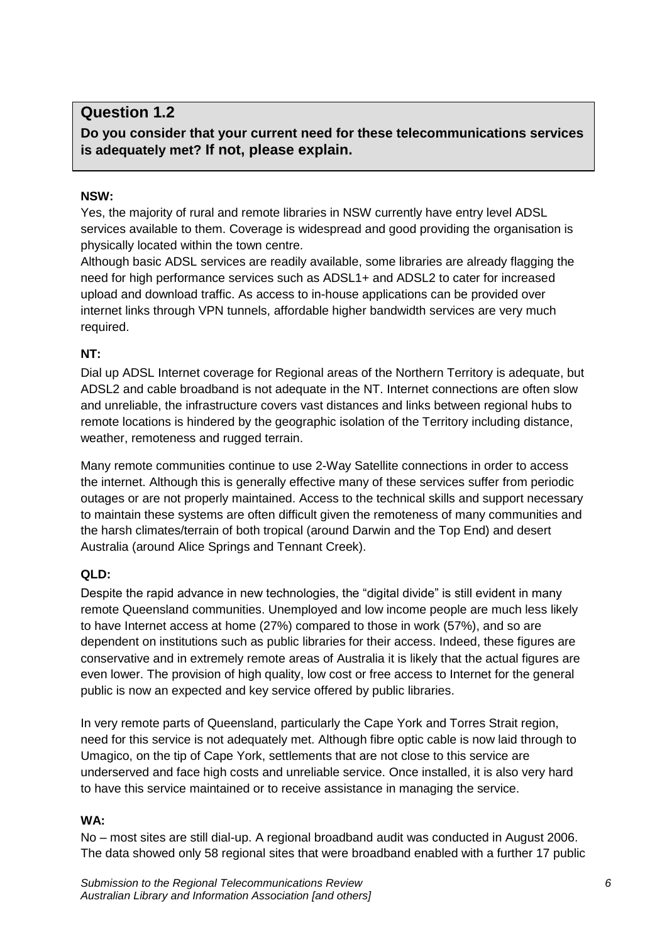# **Question 1.2**

**Do you consider that your current need for these telecommunications services is adequately met? If not, please explain.**

#### **NSW:**

Yes, the majority of rural and remote libraries in NSW currently have entry level ADSL services available to them. Coverage is widespread and good providing the organisation is physically located within the town centre.

Although basic ADSL services are readily available, some libraries are already flagging the need for high performance services such as ADSL1+ and ADSL2 to cater for increased upload and download traffic. As access to in-house applications can be provided over internet links through VPN tunnels, affordable higher bandwidth services are very much required.

## **NT:**

Dial up ADSL Internet coverage for Regional areas of the Northern Territory is adequate, but ADSL2 and cable broadband is not adequate in the NT. Internet connections are often slow and unreliable, the infrastructure covers vast distances and links between regional hubs to remote locations is hindered by the geographic isolation of the Territory including distance, weather, remoteness and rugged terrain.

Many remote communities continue to use 2-Way Satellite connections in order to access the internet. Although this is generally effective many of these services suffer from periodic outages or are not properly maintained. Access to the technical skills and support necessary to maintain these systems are often difficult given the remoteness of many communities and the harsh climates/terrain of both tropical (around Darwin and the Top End) and desert Australia (around Alice Springs and Tennant Creek).

## **QLD:**

Despite the rapid advance in new technologies, the "digital divide" is still evident in many remote Queensland communities. Unemployed and low income people are much less likely to have Internet access at home (27%) compared to those in work (57%), and so are dependent on institutions such as public libraries for their access. Indeed, these figures are conservative and in extremely remote areas of Australia it is likely that the actual figures are even lower. The provision of high quality, low cost or free access to Internet for the general public is now an expected and key service offered by public libraries.

In very remote parts of Queensland, particularly the Cape York and Torres Strait region, need for this service is not adequately met. Although fibre optic cable is now laid through to Umagico, on the tip of Cape York, settlements that are not close to this service are underserved and face high costs and unreliable service. Once installed, it is also very hard to have this service maintained or to receive assistance in managing the service.

## **WA:**

No – most sites are still dial-up. A regional broadband audit was conducted in August 2006. The data showed only 58 regional sites that were broadband enabled with a further 17 public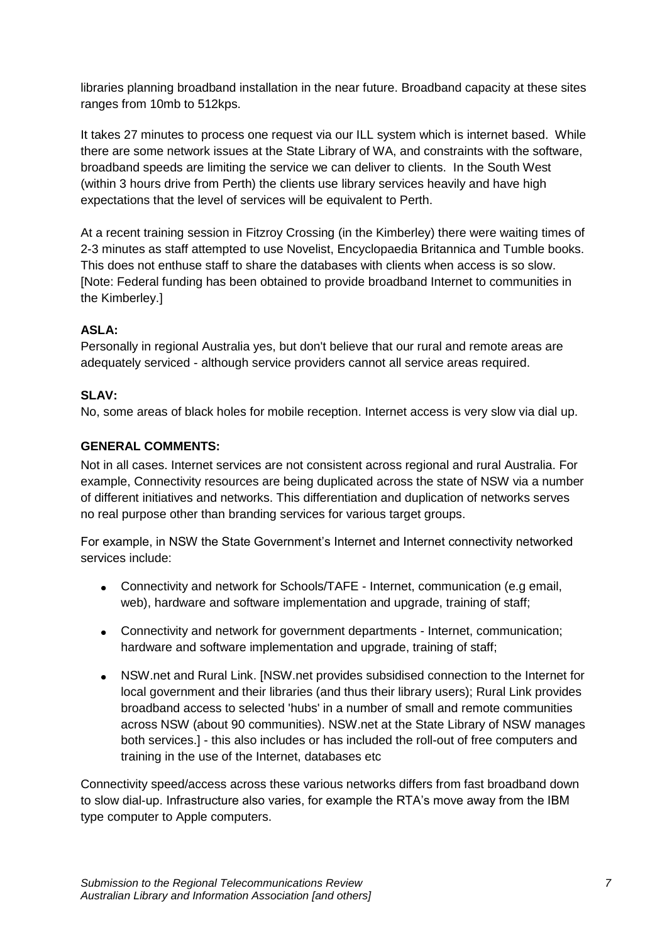libraries planning broadband installation in the near future. Broadband capacity at these sites ranges from 10mb to 512kps.

It takes 27 minutes to process one request via our ILL system which is internet based. While there are some network issues at the State Library of WA, and constraints with the software, broadband speeds are limiting the service we can deliver to clients. In the South West (within 3 hours drive from Perth) the clients use library services heavily and have high expectations that the level of services will be equivalent to Perth.

At a recent training session in Fitzroy Crossing (in the Kimberley) there were waiting times of 2-3 minutes as staff attempted to use Novelist, Encyclopaedia Britannica and Tumble books. This does not enthuse staff to share the databases with clients when access is so slow. [Note: Federal funding has been obtained to provide broadband Internet to communities in the Kimberley.]

## **ASLA:**

Personally in regional Australia yes, but don't believe that our rural and remote areas are adequately serviced - although service providers cannot all service areas required.

## **SLAV:**

No, some areas of black holes for mobile reception. Internet access is very slow via dial up.

## **GENERAL COMMENTS:**

Not in all cases. Internet services are not consistent across regional and rural Australia. For example, Connectivity resources are being duplicated across the state of NSW via a number of different initiatives and networks. This differentiation and duplication of networks serves no real purpose other than branding services for various target groups.

For example, in NSW the State Government's Internet and Internet connectivity networked services include:

- Connectivity and network for Schools/TAFE Internet, communication (e.g email, web), hardware and software implementation and upgrade, training of staff;
- Connectivity and network for government departments Internet, communication; hardware and software implementation and upgrade, training of staff:
- $\bullet$ NSW.net and Rural Link. [NSW.net provides subsidised connection to the Internet for local government and their libraries (and thus their library users); Rural Link provides broadband access to selected 'hubs' in a number of small and remote communities across NSW (about 90 communities). NSW.net at the State Library of NSW manages both services.] - this also includes or has included the roll-out of free computers and training in the use of the Internet, databases etc

Connectivity speed/access across these various networks differs from fast broadband down to slow dial-up. Infrastructure also varies, for example the RTA's move away from the IBM type computer to Apple computers.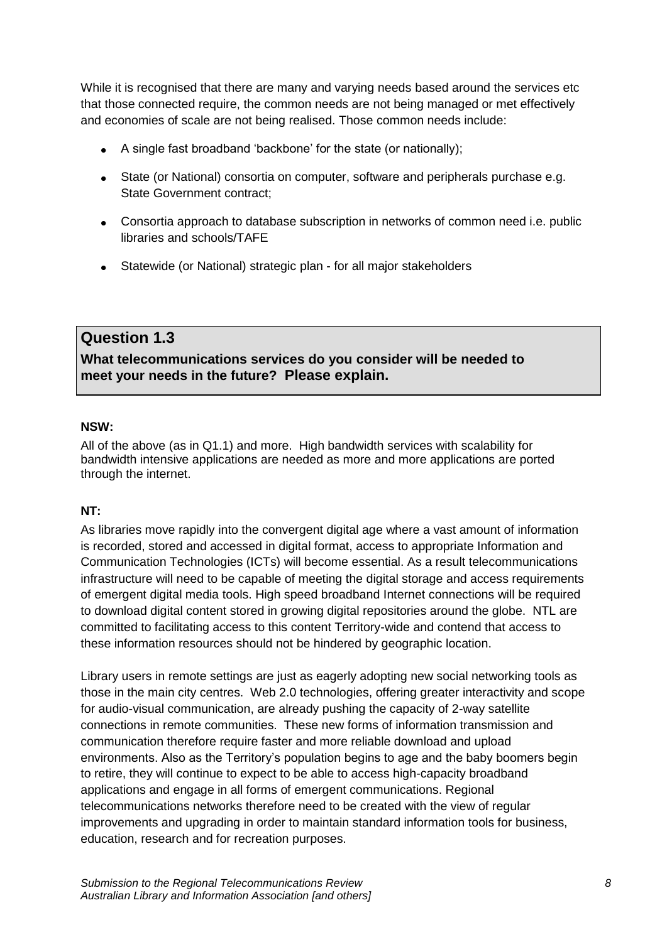While it is recognised that there are many and varying needs based around the services etc that those connected require, the common needs are not being managed or met effectively and economies of scale are not being realised. Those common needs include:

- A single fast broadband 'backbone' for the state (or nationally);
- State (or National) consortia on computer, software and peripherals purchase e.g. State Government contract;
- Consortia approach to database subscription in networks of common need i.e. public libraries and schools/TAFE
- Statewide (or National) strategic plan for all major stakeholders

# **Question 1.3**

**What telecommunications services do you consider will be needed to meet your needs in the future? Please explain.**

#### **NSW:**

All of the above (as in Q1.1) and more. High bandwidth services with scalability for bandwidth intensive applications are needed as more and more applications are ported through the internet.

## **NT:**

As libraries move rapidly into the convergent digital age where a vast amount of information is recorded, stored and accessed in digital format, access to appropriate Information and Communication Technologies (ICTs) will become essential. As a result telecommunications infrastructure will need to be capable of meeting the digital storage and access requirements of emergent digital media tools. High speed broadband Internet connections will be required to download digital content stored in growing digital repositories around the globe. NTL are committed to facilitating access to this content Territory-wide and contend that access to these information resources should not be hindered by geographic location.

Library users in remote settings are just as eagerly adopting new social networking tools as those in the main city centres. Web 2.0 technologies, offering greater interactivity and scope for audio-visual communication, are already pushing the capacity of 2-way satellite connections in remote communities. These new forms of information transmission and communication therefore require faster and more reliable download and upload environments. Also as the Territory's population begins to age and the baby boomers begin to retire, they will continue to expect to be able to access high-capacity broadband applications and engage in all forms of emergent communications. Regional telecommunications networks therefore need to be created with the view of regular improvements and upgrading in order to maintain standard information tools for business, education, research and for recreation purposes.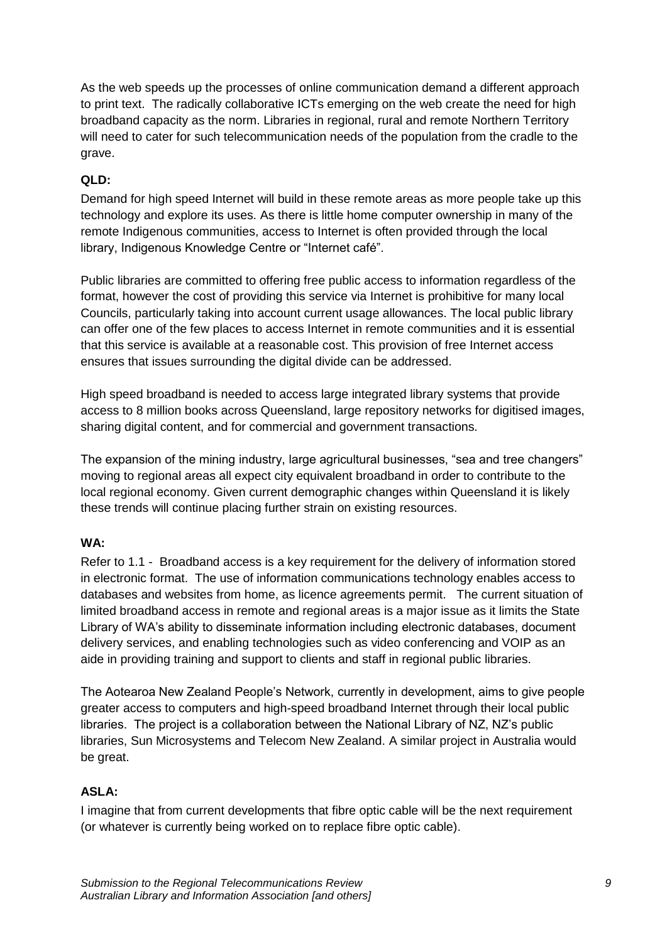As the web speeds up the processes of online communication demand a different approach to print text. The radically collaborative ICTs emerging on the web create the need for high broadband capacity as the norm. Libraries in regional, rural and remote Northern Territory will need to cater for such telecommunication needs of the population from the cradle to the grave.

## **QLD:**

Demand for high speed Internet will build in these remote areas as more people take up this technology and explore its uses. As there is little home computer ownership in many of the remote Indigenous communities, access to Internet is often provided through the local library, Indigenous Knowledge Centre or "Internet café".

Public libraries are committed to offering free public access to information regardless of the format, however the cost of providing this service via Internet is prohibitive for many local Councils, particularly taking into account current usage allowances. The local public library can offer one of the few places to access Internet in remote communities and it is essential that this service is available at a reasonable cost. This provision of free Internet access ensures that issues surrounding the digital divide can be addressed.

High speed broadband is needed to access large integrated library systems that provide access to 8 million books across Queensland, large repository networks for digitised images, sharing digital content, and for commercial and government transactions.

The expansion of the mining industry, large agricultural businesses, "sea and tree changers" moving to regional areas all expect city equivalent broadband in order to contribute to the local regional economy. Given current demographic changes within Queensland it is likely these trends will continue placing further strain on existing resources.

## **WA:**

Refer to 1.1 - Broadband access is a key requirement for the delivery of information stored in electronic format. The use of information communications technology enables access to databases and websites from home, as licence agreements permit. The current situation of limited broadband access in remote and regional areas is a major issue as it limits the State Library of WA's ability to disseminate information including electronic databases, document delivery services, and enabling technologies such as video conferencing and VOIP as an aide in providing training and support to clients and staff in regional public libraries.

The Aotearoa New Zealand People's Network, currently in development, aims to give people greater access to computers and high-speed broadband Internet through their local public libraries. The project is a collaboration between the National Library of NZ, NZ's public libraries, Sun Microsystems and Telecom New Zealand. A similar project in Australia would be great.

#### **ASLA:**

I imagine that from current developments that fibre optic cable will be the next requirement (or whatever is currently being worked on to replace fibre optic cable).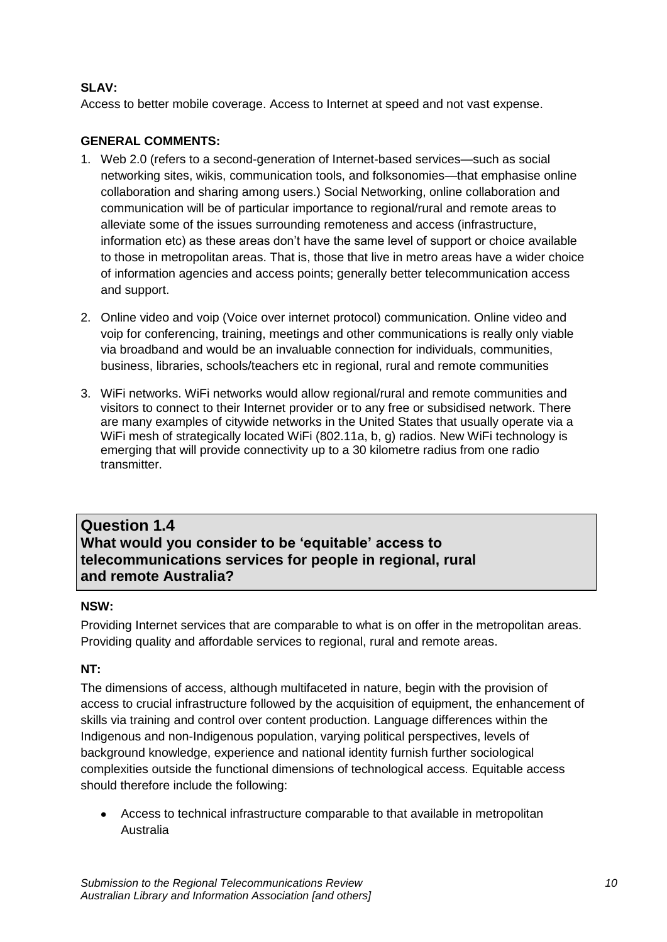## **SLAV:**

Access to better mobile coverage. Access to Internet at speed and not vast expense.

## **GENERAL COMMENTS:**

- 1. Web 2.0 (refers to a second-generation of Internet-based services—such as social networking sites, wikis, communication tools, and folksonomies—that emphasise online collaboration and sharing among users.) Social Networking, online collaboration and communication will be of particular importance to regional/rural and remote areas to alleviate some of the issues surrounding remoteness and access (infrastructure, information etc) as these areas don't have the same level of support or choice available to those in metropolitan areas. That is, those that live in metro areas have a wider choice of information agencies and access points; generally better telecommunication access and support.
- 2. Online video and voip (Voice over internet protocol) communication. Online video and voip for conferencing, training, meetings and other communications is really only viable via broadband and would be an invaluable connection for individuals, communities, business, libraries, schools/teachers etc in regional, rural and remote communities
- 3. WiFi networks. WiFi networks would allow regional/rural and remote communities and visitors to connect to their Internet provider or to any free or subsidised network. There are many examples of citywide networks in the United States that usually operate via a WiFi mesh of strategically located WiFi (802.11a, b, g) radios. New WiFi technology is emerging that will provide connectivity up to a 30 kilometre radius from one radio transmitter.

# **Question 1.4 What would you consider to be 'equitable' access to telecommunications services for people in regional, rural and remote Australia?**

## **NSW:**

Providing Internet services that are comparable to what is on offer in the metropolitan areas. Providing quality and affordable services to regional, rural and remote areas.

## **NT:**

The dimensions of access, although multifaceted in nature, begin with the provision of access to crucial infrastructure followed by the acquisition of equipment, the enhancement of skills via training and control over content production. Language differences within the Indigenous and non-Indigenous population, varying political perspectives, levels of background knowledge, experience and national identity furnish further sociological complexities outside the functional dimensions of technological access. Equitable access should therefore include the following:

Access to technical infrastructure comparable to that available in metropolitan Australia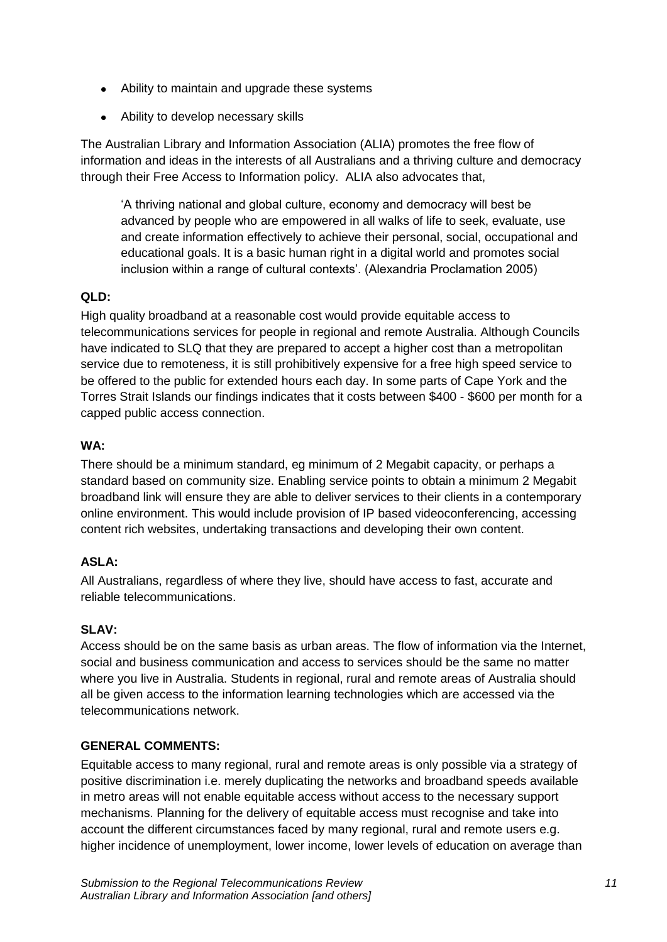- Ability to maintain and upgrade these systems
- Ability to develop necessary skills

The Australian Library and Information Association (ALIA) promotes the free flow of information and ideas in the interests of all Australians and a thriving culture and democracy through their Free Access to Information policy. ALIA also advocates that,

‗A thriving national and global culture, economy and democracy will best be advanced by people who are empowered in all walks of life to seek, evaluate, use and create information effectively to achieve their personal, social, occupational and educational goals. It is a basic human right in a digital world and promotes social inclusion within a range of cultural contexts'. (Alexandria Proclamation 2005)

# **QLD:**

High quality broadband at a reasonable cost would provide equitable access to telecommunications services for people in regional and remote Australia. Although Councils have indicated to SLQ that they are prepared to accept a higher cost than a metropolitan service due to remoteness, it is still prohibitively expensive for a free high speed service to be offered to the public for extended hours each day. In some parts of Cape York and the Torres Strait Islands our findings indicates that it costs between \$400 - \$600 per month for a capped public access connection.

## **WA:**

There should be a minimum standard, eg minimum of 2 Megabit capacity, or perhaps a standard based on community size. Enabling service points to obtain a minimum 2 Megabit broadband link will ensure they are able to deliver services to their clients in a contemporary online environment. This would include provision of IP based videoconferencing, accessing content rich websites, undertaking transactions and developing their own content.

# **ASLA:**

All Australians, regardless of where they live, should have access to fast, accurate and reliable telecommunications.

# **SLAV:**

Access should be on the same basis as urban areas. The flow of information via the Internet, social and business communication and access to services should be the same no matter where you live in Australia. Students in regional, rural and remote areas of Australia should all be given access to the information learning technologies which are accessed via the telecommunications network.

## **GENERAL COMMENTS:**

Equitable access to many regional, rural and remote areas is only possible via a strategy of positive discrimination i.e. merely duplicating the networks and broadband speeds available in metro areas will not enable equitable access without access to the necessary support mechanisms. Planning for the delivery of equitable access must recognise and take into account the different circumstances faced by many regional, rural and remote users e.g. higher incidence of unemployment, lower income, lower levels of education on average than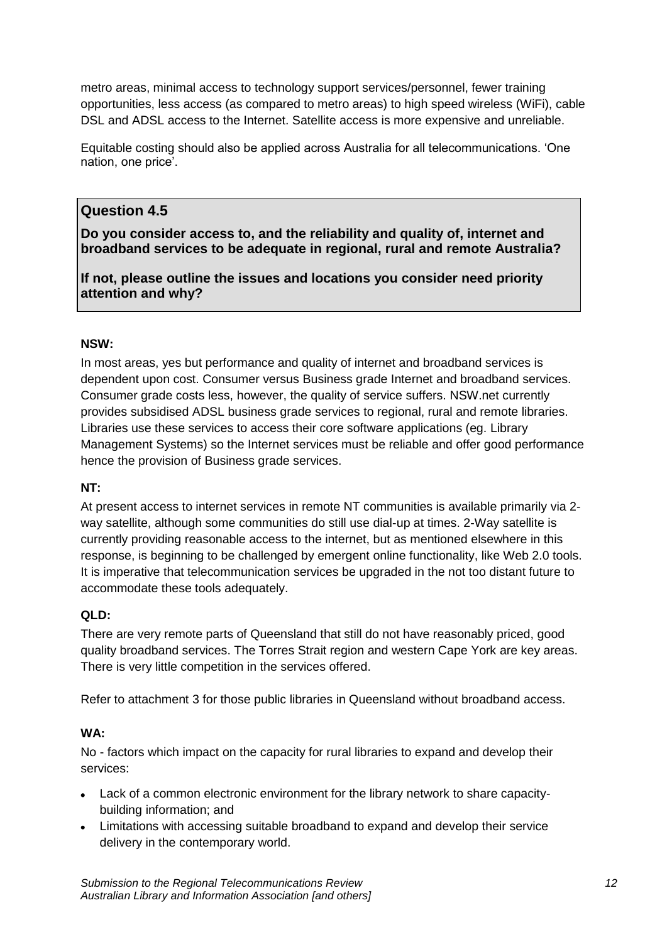metro areas, minimal access to technology support services/personnel, fewer training opportunities, less access (as compared to metro areas) to high speed wireless (WiFi), cable DSL and ADSL access to the Internet. Satellite access is more expensive and unreliable.

Equitable costing should also be applied across Australia for all telecommunications. ‗One nation, one price'.

# **Question 4.5**

**Do you consider access to, and the reliability and quality of, internet and broadband services to be adequate in regional, rural and remote Australia?**

**If not, please outline the issues and locations you consider need priority attention and why?**

## **NSW:**

In most areas, yes but performance and quality of internet and broadband services is dependent upon cost. Consumer versus Business grade Internet and broadband services. Consumer grade costs less, however, the quality of service suffers. NSW.net currently provides subsidised ADSL business grade services to regional, rural and remote libraries. Libraries use these services to access their core software applications (eg. Library Management Systems) so the Internet services must be reliable and offer good performance hence the provision of Business grade services.

#### **NT:**

At present access to internet services in remote NT communities is available primarily via 2 way satellite, although some communities do still use dial-up at times. 2-Way satellite is currently providing reasonable access to the internet, but as mentioned elsewhere in this response, is beginning to be challenged by emergent online functionality, like Web 2.0 tools. It is imperative that telecommunication services be upgraded in the not too distant future to accommodate these tools adequately.

## **QLD:**

There are very remote parts of Queensland that still do not have reasonably priced, good quality broadband services. The Torres Strait region and western Cape York are key areas. There is very little competition in the services offered.

Refer to attachment 3 for those public libraries in Queensland without broadband access.

## **WA:**

No - factors which impact on the capacity for rural libraries to expand and develop their services:

- Lack of a common electronic environment for the library network to share capacitybuilding information; and
- Limitations with accessing suitable broadband to expand and develop their service delivery in the contemporary world.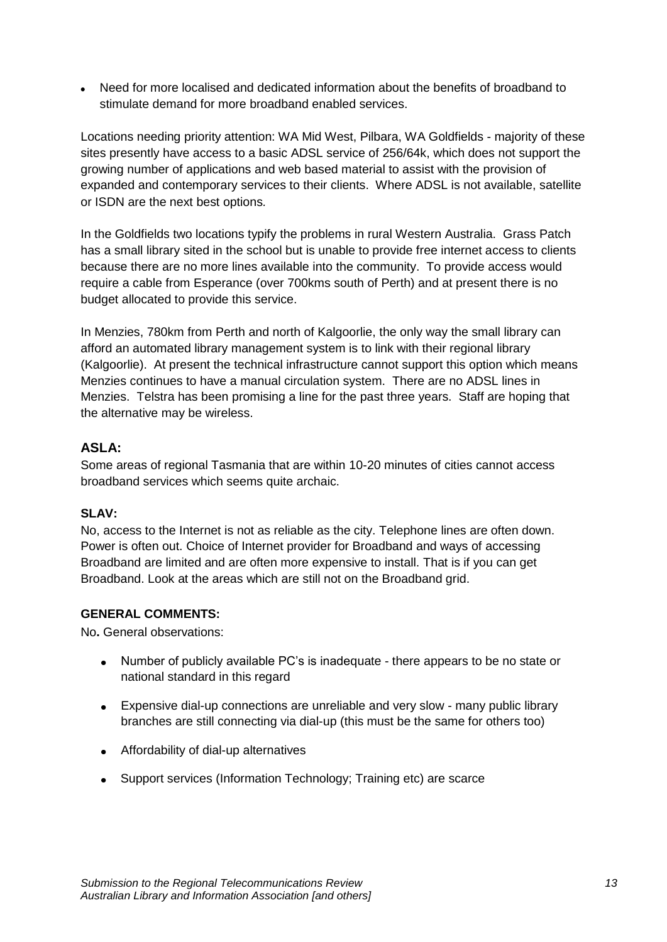Need for more localised and dedicated information about the benefits of broadband to stimulate demand for more broadband enabled services.

Locations needing priority attention: WA Mid West, Pilbara, WA Goldfields - majority of these sites presently have access to a basic ADSL service of 256/64k, which does not support the growing number of applications and web based material to assist with the provision of expanded and contemporary services to their clients. Where ADSL is not available, satellite or ISDN are the next best options*.*

In the Goldfields two locations typify the problems in rural Western Australia. Grass Patch has a small library sited in the school but is unable to provide free internet access to clients because there are no more lines available into the community. To provide access would require a cable from Esperance (over 700kms south of Perth) and at present there is no budget allocated to provide this service.

In Menzies, 780km from Perth and north of Kalgoorlie, the only way the small library can afford an automated library management system is to link with their regional library (Kalgoorlie). At present the technical infrastructure cannot support this option which means Menzies continues to have a manual circulation system. There are no ADSL lines in Menzies. Telstra has been promising a line for the past three years. Staff are hoping that the alternative may be wireless.

## **ASLA:**

Some areas of regional Tasmania that are within 10-20 minutes of cities cannot access broadband services which seems quite archaic.

## **SLAV:**

No, access to the Internet is not as reliable as the city. Telephone lines are often down. Power is often out. Choice of Internet provider for Broadband and ways of accessing Broadband are limited and are often more expensive to install. That is if you can get Broadband. Look at the areas which are still not on the Broadband grid.

## **GENERAL COMMENTS:**

No**.** General observations:

- $\bullet$ Number of publicly available PC's is inadequate - there appears to be no state or national standard in this regard
- Expensive dial-up connections are unreliable and very slow many public library branches are still connecting via dial-up (this must be the same for others too)
- Affordability of dial-up alternatives
- Support services (Information Technology; Training etc) are scarce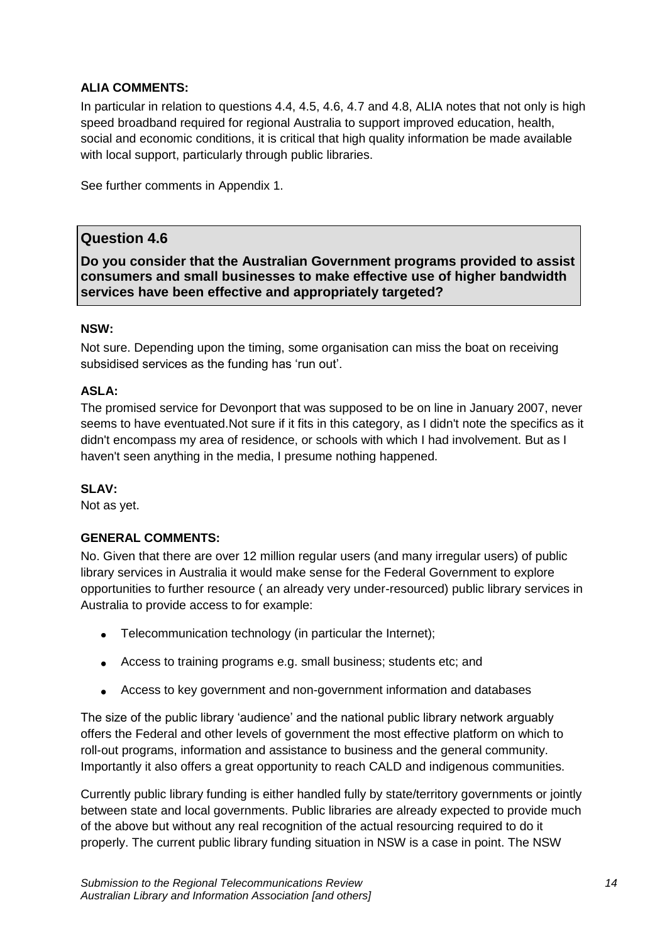## **ALIA COMMENTS:**

In particular in relation to questions 4.4, 4.5, 4.6, 4.7 and 4.8, ALIA notes that not only is high speed broadband required for regional Australia to support improved education, health, social and economic conditions, it is critical that high quality information be made available with local support, particularly through public libraries.

See further comments in Appendix 1.

# **Question 4.6**

**Do you consider that the Australian Government programs provided to assist consumers and small businesses to make effective use of higher bandwidth services have been effective and appropriately targeted?**

## **NSW:**

Not sure. Depending upon the timing, some organisation can miss the boat on receiving subsidised services as the funding has 'run out'.

## **ASLA:**

The promised service for Devonport that was supposed to be on line in January 2007, never seems to have eventuated.Not sure if it fits in this category, as I didn't note the specifics as it didn't encompass my area of residence, or schools with which I had involvement. But as I haven't seen anything in the media, I presume nothing happened.

## **SLAV:**

Not as yet.

# **GENERAL COMMENTS:**

No. Given that there are over 12 million regular users (and many irregular users) of public library services in Australia it would make sense for the Federal Government to explore opportunities to further resource ( an already very under-resourced) public library services in Australia to provide access to for example:

- Telecommunication technology (in particular the Internet):
- Access to training programs e.g. small business; students etc; and
- Access to key government and non-government information and databases

The size of the public library 'audience' and the national public library network arguably offers the Federal and other levels of government the most effective platform on which to roll-out programs, information and assistance to business and the general community. Importantly it also offers a great opportunity to reach CALD and indigenous communities.

Currently public library funding is either handled fully by state/territory governments or jointly between state and local governments. Public libraries are already expected to provide much of the above but without any real recognition of the actual resourcing required to do it properly. The current public library funding situation in NSW is a case in point. The NSW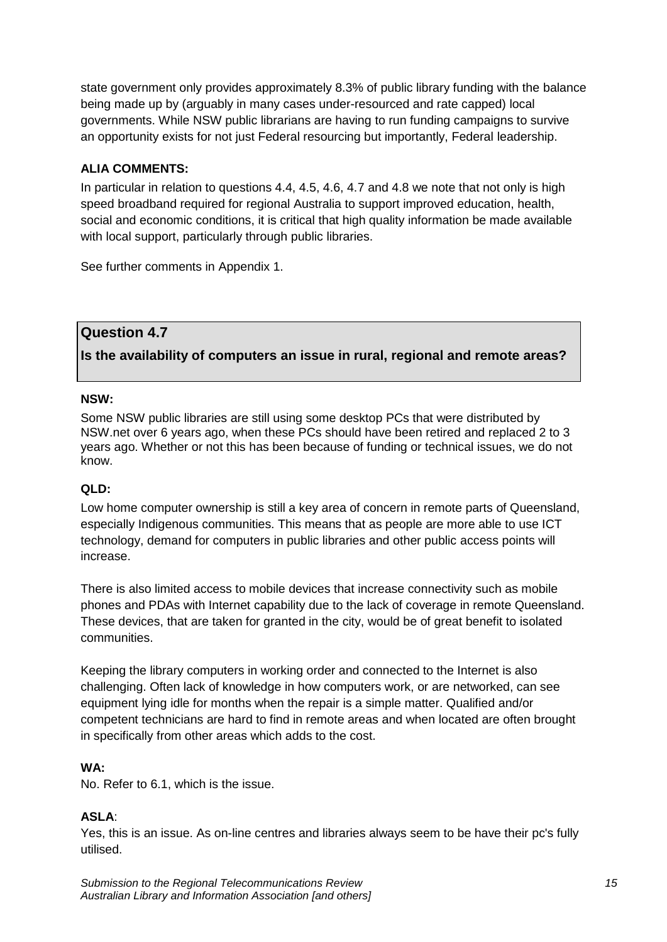state government only provides approximately 8.3% of public library funding with the balance being made up by (arguably in many cases under-resourced and rate capped) local governments. While NSW public librarians are having to run funding campaigns to survive an opportunity exists for not just Federal resourcing but importantly, Federal leadership.

## **ALIA COMMENTS:**

In particular in relation to questions 4.4, 4.5, 4.6, 4.7 and 4.8 we note that not only is high speed broadband required for regional Australia to support improved education, health, social and economic conditions, it is critical that high quality information be made available with local support, particularly through public libraries.

See further comments in Appendix 1.

# **Question 4.7**

**Is the availability of computers an issue in rural, regional and remote areas?**

#### **NSW:**

Some NSW public libraries are still using some desktop PCs that were distributed by NSW.net over 6 years ago, when these PCs should have been retired and replaced 2 to 3 years ago. Whether or not this has been because of funding or technical issues, we do not know.

## **QLD:**

Low home computer ownership is still a key area of concern in remote parts of Queensland, especially Indigenous communities. This means that as people are more able to use ICT technology, demand for computers in public libraries and other public access points will increase.

There is also limited access to mobile devices that increase connectivity such as mobile phones and PDAs with Internet capability due to the lack of coverage in remote Queensland. These devices, that are taken for granted in the city, would be of great benefit to isolated communities.

Keeping the library computers in working order and connected to the Internet is also challenging. Often lack of knowledge in how computers work, or are networked, can see equipment lying idle for months when the repair is a simple matter. Qualified and/or competent technicians are hard to find in remote areas and when located are often brought in specifically from other areas which adds to the cost.

## **WA:**

No. Refer to 6.1, which is the issue.

## **ASLA**:

Yes, this is an issue. As on-line centres and libraries always seem to be have their pc's fully utilised.

*Submission to the Regional Telecommunications Review 15 Australian Library and Information Association [and others]*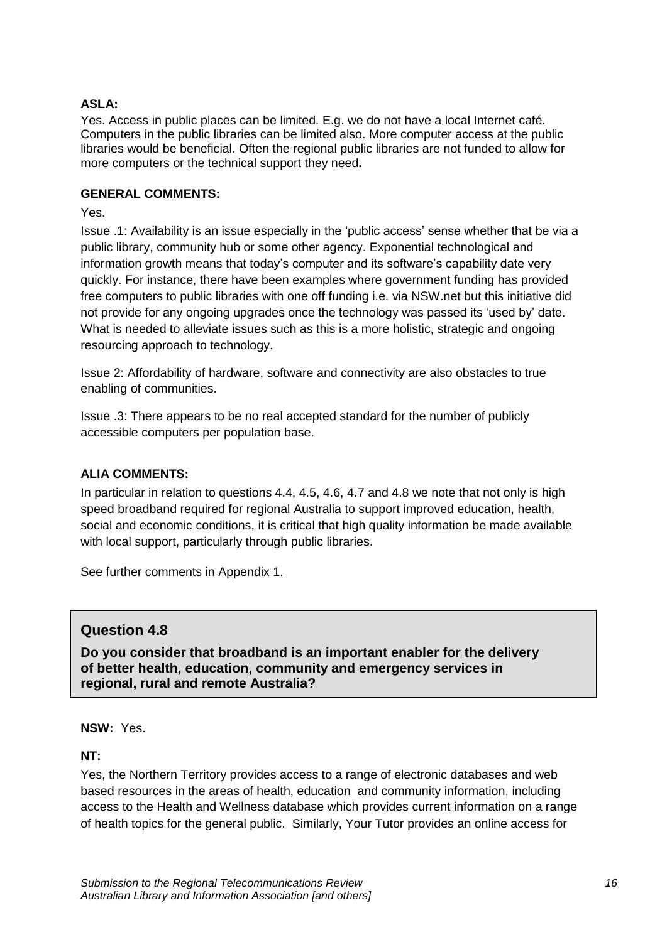#### **ASLA:**

Yes. Access in public places can be limited. E.g. we do not have a local Internet café. Computers in the public libraries can be limited also. More computer access at the public libraries would be beneficial. Often the regional public libraries are not funded to allow for more computers or the technical support they need**.** 

#### **GENERAL COMMENTS:**

Yes.

Issue .1: Availability is an issue especially in the 'public access' sense whether that be via a public library, community hub or some other agency. Exponential technological and information growth means that today's computer and its software's capability date very quickly. For instance, there have been examples where government funding has provided free computers to public libraries with one off funding i.e. via NSW.net but this initiative did not provide for any ongoing upgrades once the technology was passed its 'used by' date. What is needed to alleviate issues such as this is a more holistic, strategic and ongoing resourcing approach to technology.

Issue 2: Affordability of hardware, software and connectivity are also obstacles to true enabling of communities.

Issue .3: There appears to be no real accepted standard for the number of publicly accessible computers per population base.

#### **ALIA COMMENTS:**

In particular in relation to questions 4.4, 4.5, 4.6, 4.7 and 4.8 we note that not only is high speed broadband required for regional Australia to support improved education, health, social and economic conditions, it is critical that high quality information be made available with local support, particularly through public libraries.

See further comments in Appendix 1.

## **Question 4.8**

**Do you consider that broadband is an important enabler for the delivery of better health, education, community and emergency services in regional, rural and remote Australia?**

**NSW:** Yes.

**NT:**

Yes, the Northern Territory provides access to a range of electronic databases and web based resources in the areas of health, education and community information, including access to the Health and Wellness database which provides current information on a range of health topics for the general public. Similarly, Your Tutor provides an online access for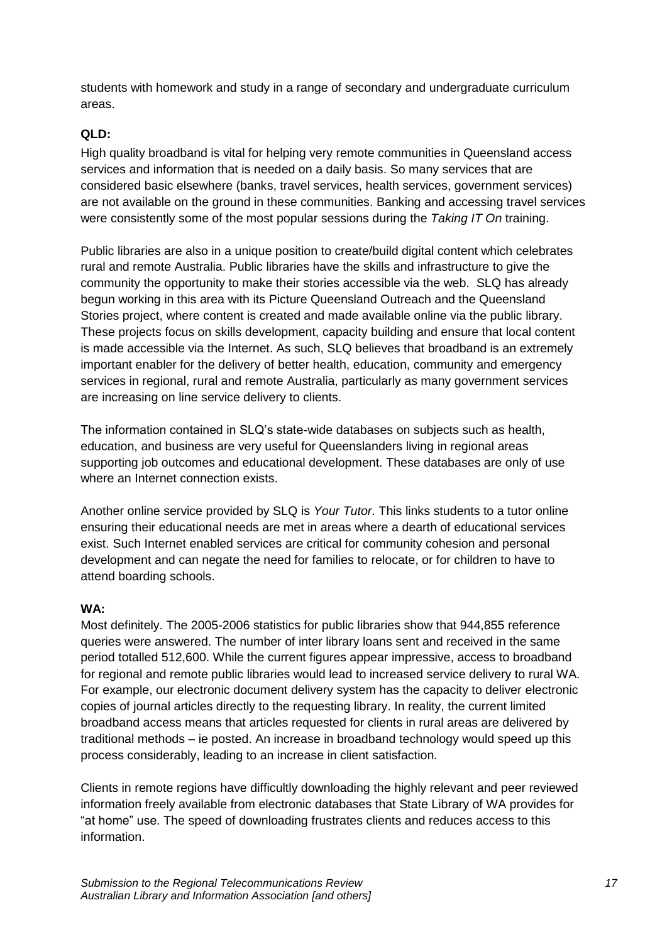students with homework and study in a range of secondary and undergraduate curriculum areas.

## **QLD:**

High quality broadband is vital for helping very remote communities in Queensland access services and information that is needed on a daily basis. So many services that are considered basic elsewhere (banks, travel services, health services, government services) are not available on the ground in these communities. Banking and accessing travel services were consistently some of the most popular sessions during the *Taking IT On* training.

Public libraries are also in a unique position to create/build digital content which celebrates rural and remote Australia. Public libraries have the skills and infrastructure to give the community the opportunity to make their stories accessible via the web. SLQ has already begun working in this area with its Picture Queensland Outreach and the Queensland Stories project, where content is created and made available online via the public library. These projects focus on skills development, capacity building and ensure that local content is made accessible via the Internet. As such, SLQ believes that broadband is an extremely important enabler for the delivery of better health, education, community and emergency services in regional, rural and remote Australia, particularly as many government services are increasing on line service delivery to clients.

The information contained in SLQ's state-wide databases on subjects such as health, education, and business are very useful for Queenslanders living in regional areas supporting job outcomes and educational development. These databases are only of use where an Internet connection exists.

Another online service provided by SLQ is *Your Tutor*. This links students to a tutor online ensuring their educational needs are met in areas where a dearth of educational services exist. Such Internet enabled services are critical for community cohesion and personal development and can negate the need for families to relocate, or for children to have to attend boarding schools.

## **WA:**

Most definitely. The 2005-2006 statistics for public libraries show that 944,855 reference queries were answered. The number of inter library loans sent and received in the same period totalled 512,600. While the current figures appear impressive, access to broadband for regional and remote public libraries would lead to increased service delivery to rural WA. For example, our electronic document delivery system has the capacity to deliver electronic copies of journal articles directly to the requesting library. In reality, the current limited broadband access means that articles requested for clients in rural areas are delivered by traditional methods – ie posted. An increase in broadband technology would speed up this process considerably, leading to an increase in client satisfaction.

Clients in remote regions have difficultly downloading the highly relevant and peer reviewed information freely available from electronic databases that State Library of WA provides for "at home" use. The speed of downloading frustrates clients and reduces access to this information.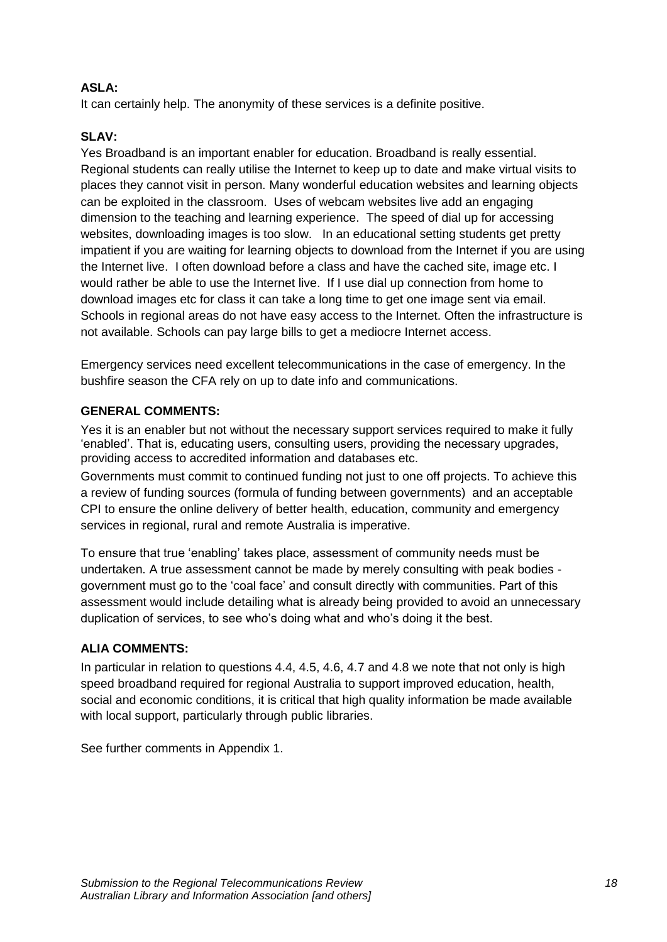## **ASLA:**

It can certainly help. The anonymity of these services is a definite positive.

## **SLAV:**

Yes Broadband is an important enabler for education. Broadband is really essential. Regional students can really utilise the Internet to keep up to date and make virtual visits to places they cannot visit in person. Many wonderful education websites and learning objects can be exploited in the classroom. Uses of webcam websites live add an engaging dimension to the teaching and learning experience. The speed of dial up for accessing websites, downloading images is too slow. In an educational setting students get pretty impatient if you are waiting for learning objects to download from the Internet if you are using the Internet live. I often download before a class and have the cached site, image etc. I would rather be able to use the Internet live. If I use dial up connection from home to download images etc for class it can take a long time to get one image sent via email. Schools in regional areas do not have easy access to the Internet. Often the infrastructure is not available. Schools can pay large bills to get a mediocre Internet access.

Emergency services need excellent telecommunications in the case of emergency. In the bushfire season the CFA rely on up to date info and communications.

#### **GENERAL COMMENTS:**

Yes it is an enabler but not without the necessary support services required to make it fully ‗enabled'. That is, educating users, consulting users, providing the necessary upgrades, providing access to accredited information and databases etc.

Governments must commit to continued funding not just to one off projects. To achieve this a review of funding sources (formula of funding between governments) and an acceptable CPI to ensure the online delivery of better health, education, community and emergency services in regional, rural and remote Australia is imperative.

To ensure that true 'enabling' takes place, assessment of community needs must be undertaken. A true assessment cannot be made by merely consulting with peak bodies government must go to the ‗coal face' and consult directly with communities. Part of this assessment would include detailing what is already being provided to avoid an unnecessary duplication of services, to see who's doing what and who's doing it the best.

#### **ALIA COMMENTS:**

In particular in relation to questions 4.4, 4.5, 4.6, 4.7 and 4.8 we note that not only is high speed broadband required for regional Australia to support improved education, health, social and economic conditions, it is critical that high quality information be made available with local support, particularly through public libraries.

See further comments in Appendix 1.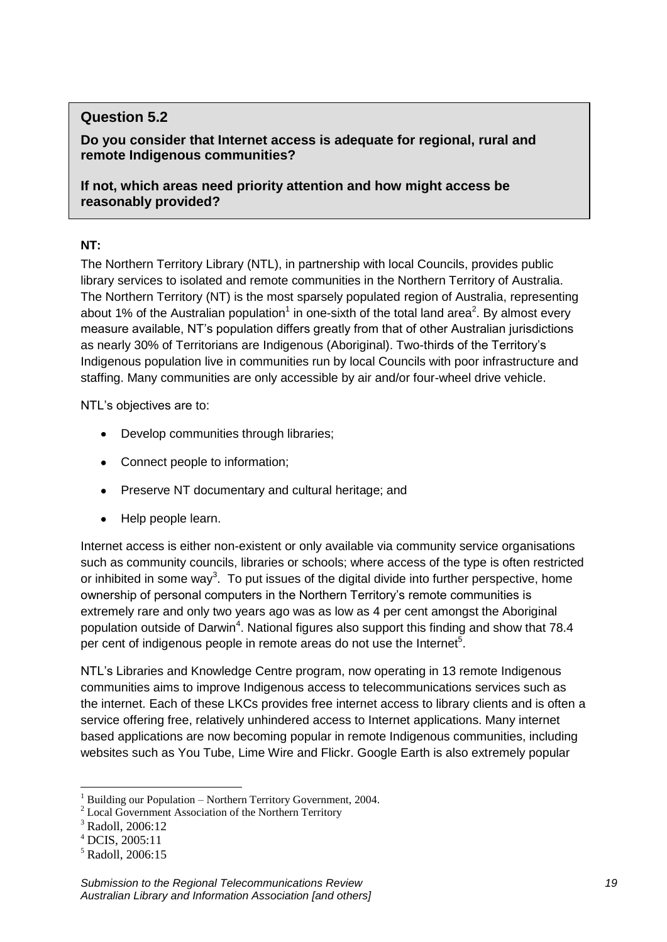# **Question 5.2**

**Do you consider that Internet access is adequate for regional, rural and remote Indigenous communities?**

**If not, which areas need priority attention and how might access be reasonably provided?**

## **NT:**

The Northern Territory Library (NTL), in partnership with local Councils, provides public library services to isolated and remote communities in the Northern Territory of Australia. The Northern Territory (NT) is the most sparsely populated region of Australia, representing about 1% of the Australian population<sup>1</sup> in one-sixth of the total land area<sup>2</sup>. By almost every measure available, NT's population differs greatly from that of other Australian jurisdictions as nearly 30% of Territorians are Indigenous (Aboriginal). Two-thirds of the Territory's Indigenous population live in communities run by local Councils with poor infrastructure and staffing. Many communities are only accessible by air and/or four-wheel drive vehicle.

NTL's objectives are to:

- Develop communities through libraries;  $\bullet$
- Connect people to information;
- Preserve NT documentary and cultural heritage; and
- Help people learn.

Internet access is either non-existent or only available via community service organisations such as community councils, libraries or schools; where access of the type is often restricted or inhibited in some way<sup>3</sup>. To put issues of the digital divide into further perspective, home ownership of personal computers in the Northern Territory's remote communities is extremely rare and only two years ago was as low as 4 per cent amongst the Aboriginal population outside of Darwin<sup>4</sup>. National figures also support this finding and show that 78.4 per cent of indigenous people in remote areas do not use the Internet<sup>5</sup>.

NTL's Libraries and Knowledge Centre program, now operating in 13 remote Indigenous communities aims to improve Indigenous access to telecommunications services such as the internet. Each of these LKCs provides free internet access to library clients and is often a service offering free, relatively unhindered access to Internet applications. Many internet based applications are now becoming popular in remote Indigenous communities, including websites such as You Tube, Lime Wire and Flickr. Google Earth is also extremely popular

**<sup>.</sup>** <sup>1</sup> Building our Population – Northern Territory Government, 2004.

<sup>&</sup>lt;sup>2</sup> Local Government Association of the Northern Territory

<sup>3</sup> Radoll, 2006:12

 $^{4}$  DCIS, 2005:11

<sup>5</sup> Radoll, 2006:15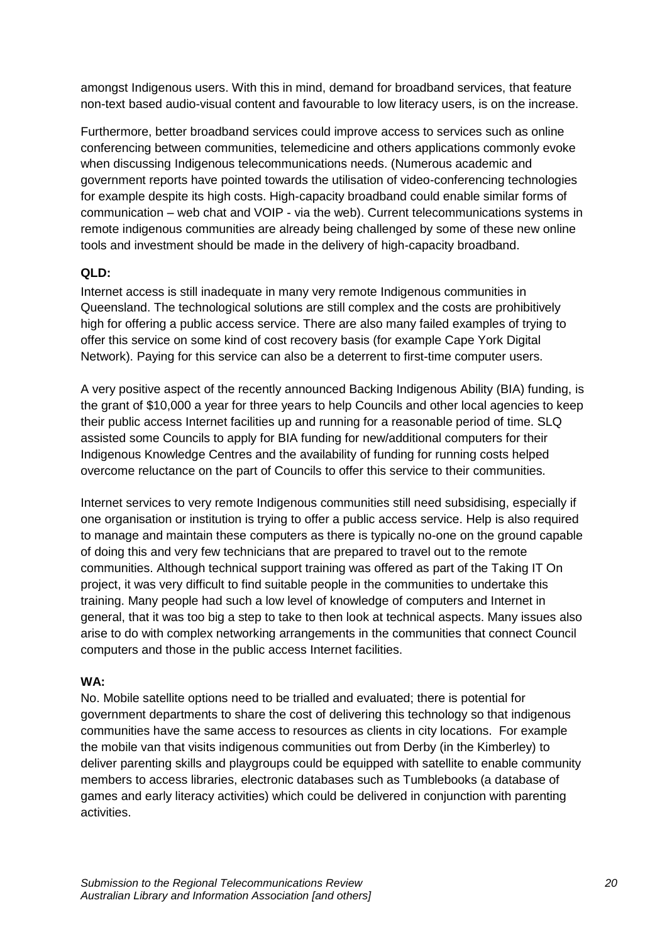amongst Indigenous users. With this in mind, demand for broadband services, that feature non-text based audio-visual content and favourable to low literacy users, is on the increase.

Furthermore, better broadband services could improve access to services such as online conferencing between communities, telemedicine and others applications commonly evoke when discussing Indigenous telecommunications needs. (Numerous academic and government reports have pointed towards the utilisation of video-conferencing technologies for example despite its high costs. High-capacity broadband could enable similar forms of communication – web chat and VOIP - via the web). Current telecommunications systems in remote indigenous communities are already being challenged by some of these new online tools and investment should be made in the delivery of high-capacity broadband.

## **QLD:**

Internet access is still inadequate in many very remote Indigenous communities in Queensland. The technological solutions are still complex and the costs are prohibitively high for offering a public access service. There are also many failed examples of trying to offer this service on some kind of cost recovery basis (for example Cape York Digital Network). Paying for this service can also be a deterrent to first-time computer users.

A very positive aspect of the recently announced Backing Indigenous Ability (BIA) funding, is the grant of \$10,000 a year for three years to help Councils and other local agencies to keep their public access Internet facilities up and running for a reasonable period of time. SLQ assisted some Councils to apply for BIA funding for new/additional computers for their Indigenous Knowledge Centres and the availability of funding for running costs helped overcome reluctance on the part of Councils to offer this service to their communities.

Internet services to very remote Indigenous communities still need subsidising, especially if one organisation or institution is trying to offer a public access service. Help is also required to manage and maintain these computers as there is typically no-one on the ground capable of doing this and very few technicians that are prepared to travel out to the remote communities. Although technical support training was offered as part of the Taking IT On project, it was very difficult to find suitable people in the communities to undertake this training. Many people had such a low level of knowledge of computers and Internet in general, that it was too big a step to take to then look at technical aspects. Many issues also arise to do with complex networking arrangements in the communities that connect Council computers and those in the public access Internet facilities.

## **WA:**

No. Mobile satellite options need to be trialled and evaluated; there is potential for government departments to share the cost of delivering this technology so that indigenous communities have the same access to resources as clients in city locations. For example the mobile van that visits indigenous communities out from Derby (in the Kimberley) to deliver parenting skills and playgroups could be equipped with satellite to enable community members to access libraries, electronic databases such as Tumblebooks (a database of games and early literacy activities) which could be delivered in conjunction with parenting activities.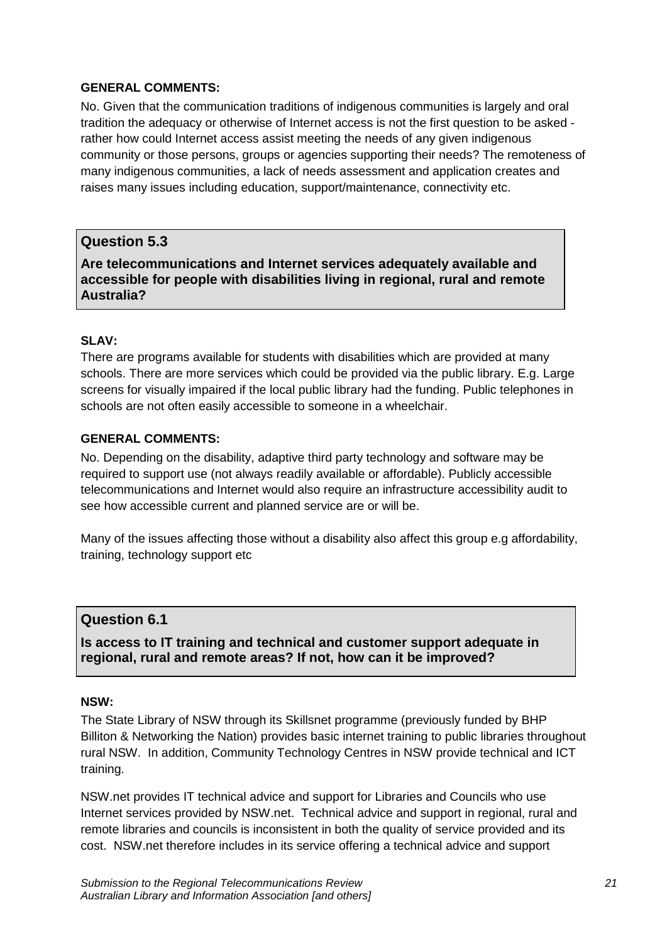#### **GENERAL COMMENTS:**

No. Given that the communication traditions of indigenous communities is largely and oral tradition the adequacy or otherwise of Internet access is not the first question to be asked rather how could Internet access assist meeting the needs of any given indigenous community or those persons, groups or agencies supporting their needs? The remoteness of many indigenous communities, a lack of needs assessment and application creates and raises many issues including education, support/maintenance, connectivity etc.

## **Question 5.3**

**Are telecommunications and Internet services adequately available and accessible for people with disabilities living in regional, rural and remote Australia?**

#### **SLAV:**

There are programs available for students with disabilities which are provided at many schools. There are more services which could be provided via the public library. E.g. Large screens for visually impaired if the local public library had the funding. Public telephones in schools are not often easily accessible to someone in a wheelchair.

#### **GENERAL COMMENTS:**

No. Depending on the disability, adaptive third party technology and software may be required to support use (not always readily available or affordable). Publicly accessible telecommunications and Internet would also require an infrastructure accessibility audit to see how accessible current and planned service are or will be.

Many of the issues affecting those without a disability also affect this group e.g affordability, training, technology support etc

## **Question 6.1**

**Is access to IT training and technical and customer support adequate in regional, rural and remote areas? If not, how can it be improved?**

#### **NSW:**

The State Library of NSW through its Skillsnet programme (previously funded by BHP Billiton & Networking the Nation) provides basic internet training to public libraries throughout rural NSW. In addition, Community Technology Centres in NSW provide technical and ICT training.

NSW.net provides IT technical advice and support for Libraries and Councils who use Internet services provided by NSW.net. Technical advice and support in regional, rural and remote libraries and councils is inconsistent in both the quality of service provided and its cost. NSW.net therefore includes in its service offering a technical advice and support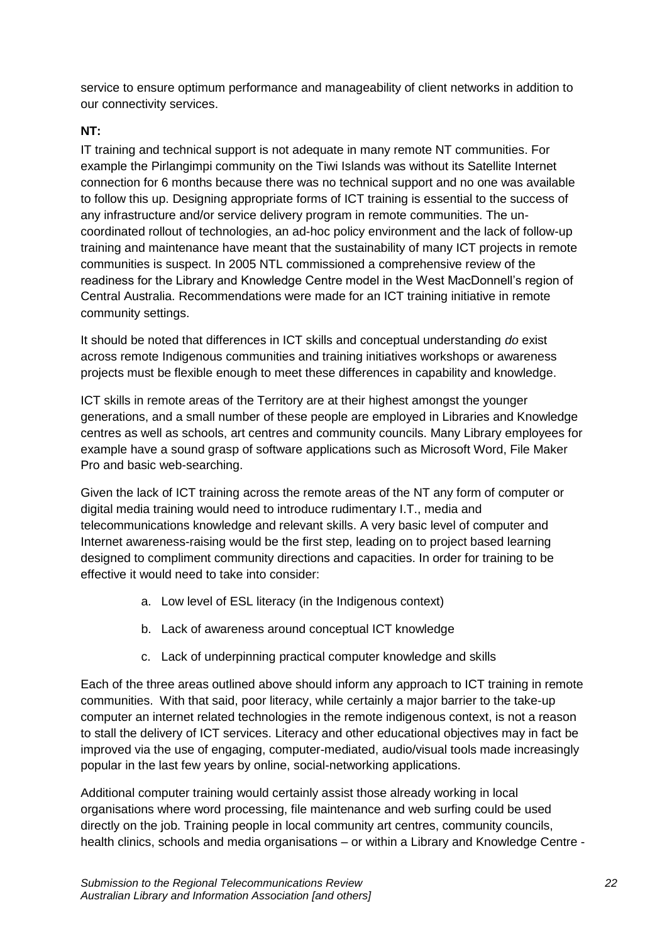service to ensure optimum performance and manageability of client networks in addition to our connectivity services.

## **NT:**

IT training and technical support is not adequate in many remote NT communities. For example the Pirlangimpi community on the Tiwi Islands was without its Satellite Internet connection for 6 months because there was no technical support and no one was available to follow this up. Designing appropriate forms of ICT training is essential to the success of any infrastructure and/or service delivery program in remote communities. The uncoordinated rollout of technologies, an ad-hoc policy environment and the lack of follow-up training and maintenance have meant that the sustainability of many ICT projects in remote communities is suspect. In 2005 NTL commissioned a comprehensive review of the readiness for the Library and Knowledge Centre model in the West MacDonnell's region of Central Australia. Recommendations were made for an ICT training initiative in remote community settings.

It should be noted that differences in ICT skills and conceptual understanding *do* exist across remote Indigenous communities and training initiatives workshops or awareness projects must be flexible enough to meet these differences in capability and knowledge.

ICT skills in remote areas of the Territory are at their highest amongst the younger generations, and a small number of these people are employed in Libraries and Knowledge centres as well as schools, art centres and community councils. Many Library employees for example have a sound grasp of software applications such as Microsoft Word, File Maker Pro and basic web-searching.

Given the lack of ICT training across the remote areas of the NT any form of computer or digital media training would need to introduce rudimentary I.T., media and telecommunications knowledge and relevant skills. A very basic level of computer and Internet awareness-raising would be the first step, leading on to project based learning designed to compliment community directions and capacities. In order for training to be effective it would need to take into consider:

- a. Low level of ESL literacy (in the Indigenous context)
- b. Lack of awareness around conceptual ICT knowledge
- c. Lack of underpinning practical computer knowledge and skills

Each of the three areas outlined above should inform any approach to ICT training in remote communities. With that said, poor literacy, while certainly a major barrier to the take-up computer an internet related technologies in the remote indigenous context, is not a reason to stall the delivery of ICT services. Literacy and other educational objectives may in fact be improved via the use of engaging, computer-mediated, audio/visual tools made increasingly popular in the last few years by online, social-networking applications.

Additional computer training would certainly assist those already working in local organisations where word processing, file maintenance and web surfing could be used directly on the job. Training people in local community art centres, community councils, health clinics, schools and media organisations – or within a Library and Knowledge Centre -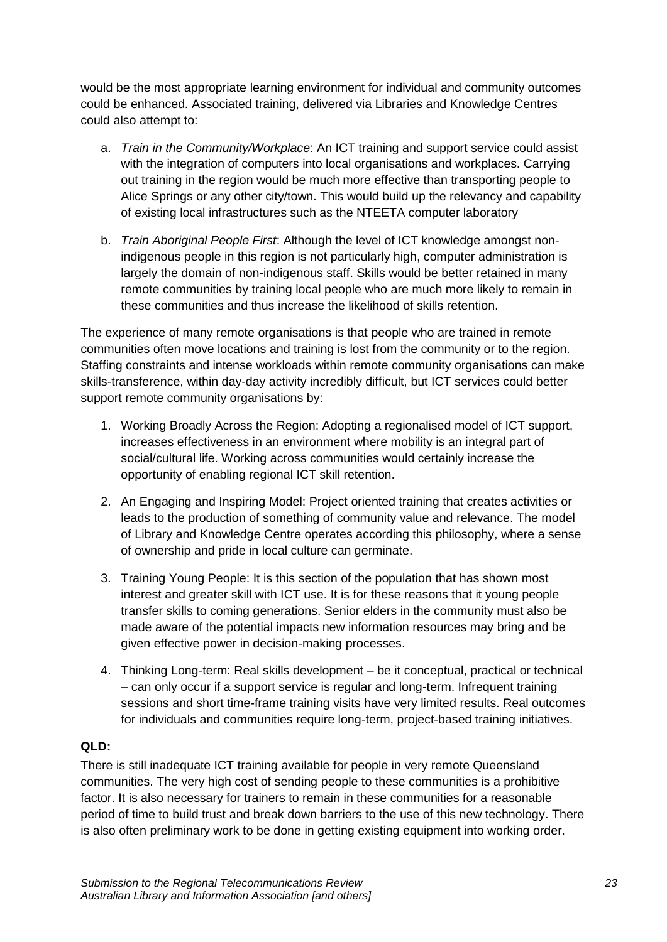would be the most appropriate learning environment for individual and community outcomes could be enhanced. Associated training, delivered via Libraries and Knowledge Centres could also attempt to:

- a. *Train in the Community/Workplace*: An ICT training and support service could assist with the integration of computers into local organisations and workplaces. Carrying out training in the region would be much more effective than transporting people to Alice Springs or any other city/town. This would build up the relevancy and capability of existing local infrastructures such as the NTEETA computer laboratory
- b. *Train Aboriginal People First*: Although the level of ICT knowledge amongst nonindigenous people in this region is not particularly high, computer administration is largely the domain of non-indigenous staff. Skills would be better retained in many remote communities by training local people who are much more likely to remain in these communities and thus increase the likelihood of skills retention.

The experience of many remote organisations is that people who are trained in remote communities often move locations and training is lost from the community or to the region. Staffing constraints and intense workloads within remote community organisations can make skills-transference, within day-day activity incredibly difficult, but ICT services could better support remote community organisations by:

- 1. Working Broadly Across the Region: Adopting a regionalised model of ICT support, increases effectiveness in an environment where mobility is an integral part of social/cultural life. Working across communities would certainly increase the opportunity of enabling regional ICT skill retention.
- 2. An Engaging and Inspiring Model: Project oriented training that creates activities or leads to the production of something of community value and relevance. The model of Library and Knowledge Centre operates according this philosophy, where a sense of ownership and pride in local culture can germinate.
- 3. Training Young People: It is this section of the population that has shown most interest and greater skill with ICT use. It is for these reasons that it young people transfer skills to coming generations. Senior elders in the community must also be made aware of the potential impacts new information resources may bring and be given effective power in decision-making processes.
- 4. Thinking Long-term: Real skills development be it conceptual, practical or technical – can only occur if a support service is regular and long-term. Infrequent training sessions and short time-frame training visits have very limited results. Real outcomes for individuals and communities require long-term, project-based training initiatives.

## **QLD:**

There is still inadequate ICT training available for people in very remote Queensland communities. The very high cost of sending people to these communities is a prohibitive factor. It is also necessary for trainers to remain in these communities for a reasonable period of time to build trust and break down barriers to the use of this new technology. There is also often preliminary work to be done in getting existing equipment into working order.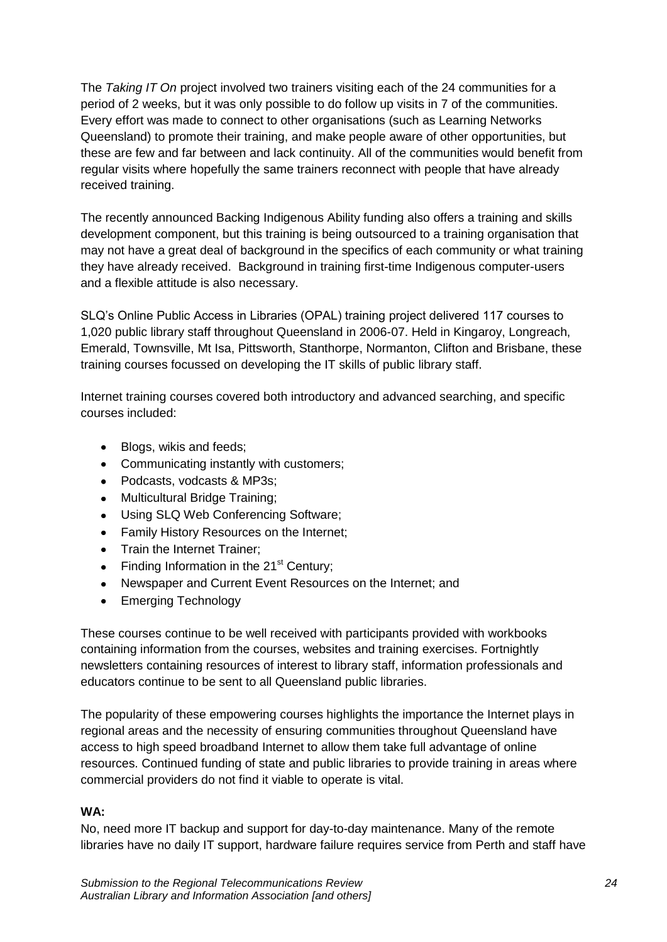The *Taking IT On* project involved two trainers visiting each of the 24 communities for a period of 2 weeks, but it was only possible to do follow up visits in 7 of the communities. Every effort was made to connect to other organisations (such as Learning Networks Queensland) to promote their training, and make people aware of other opportunities, but these are few and far between and lack continuity. All of the communities would benefit from regular visits where hopefully the same trainers reconnect with people that have already received training.

The recently announced Backing Indigenous Ability funding also offers a training and skills development component, but this training is being outsourced to a training organisation that may not have a great deal of background in the specifics of each community or what training they have already received. Background in training first-time Indigenous computer-users and a flexible attitude is also necessary.

SLQ's Online Public Access in Libraries (OPAL) training project delivered 117 courses to 1,020 public library staff throughout Queensland in 2006-07. Held in Kingaroy, Longreach, Emerald, Townsville, Mt Isa, Pittsworth, Stanthorpe, Normanton, Clifton and Brisbane, these training courses focussed on developing the IT skills of public library staff.

Internet training courses covered both introductory and advanced searching, and specific courses included:

- Blogs, wikis and feeds;  $\bullet$
- Communicating instantly with customers;
- Podcasts, vodcasts & MP3s;
- Multicultural Bridge Training;  $\bullet$
- Using SLQ Web Conferencing Software;  $\bullet$
- Family History Resources on the Internet;  $\bullet$
- Train the Internet Trainer:
- Finding Information in the  $21<sup>st</sup>$  Century;  $\bullet$
- $\bullet$ Newspaper and Current Event Resources on the Internet; and
- Emerging Technology  $\bullet$

These courses continue to be well received with participants provided with workbooks containing information from the courses, websites and training exercises. Fortnightly newsletters containing resources of interest to library staff, information professionals and educators continue to be sent to all Queensland public libraries.

The popularity of these empowering courses highlights the importance the Internet plays in regional areas and the necessity of ensuring communities throughout Queensland have access to high speed broadband Internet to allow them take full advantage of online resources. Continued funding of state and public libraries to provide training in areas where commercial providers do not find it viable to operate is vital.

#### **WA:**

No, need more IT backup and support for day-to-day maintenance. Many of the remote libraries have no daily IT support, hardware failure requires service from Perth and staff have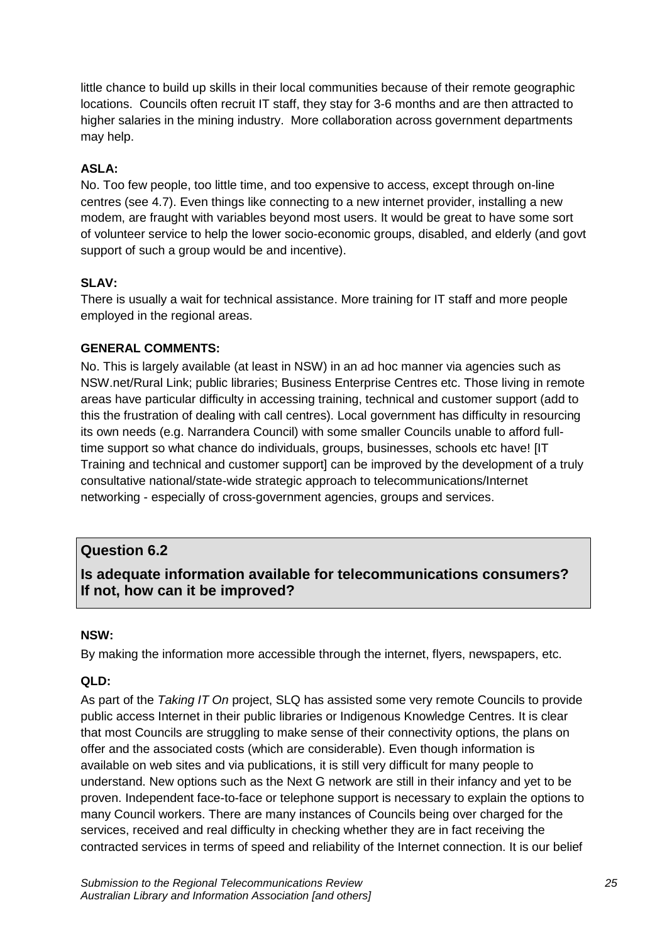little chance to build up skills in their local communities because of their remote geographic locations. Councils often recruit IT staff, they stay for 3-6 months and are then attracted to higher salaries in the mining industry. More collaboration across government departments may help.

## **ASLA:**

No. Too few people, too little time, and too expensive to access, except through on-line centres (see 4.7). Even things like connecting to a new internet provider, installing a new modem, are fraught with variables beyond most users. It would be great to have some sort of volunteer service to help the lower socio-economic groups, disabled, and elderly (and govt support of such a group would be and incentive).

#### **SLAV:**

There is usually a wait for technical assistance. More training for IT staff and more people employed in the regional areas.

#### **GENERAL COMMENTS:**

No. This is largely available (at least in NSW) in an ad hoc manner via agencies such as NSW.net/Rural Link; public libraries; Business Enterprise Centres etc. Those living in remote areas have particular difficulty in accessing training, technical and customer support (add to this the frustration of dealing with call centres). Local government has difficulty in resourcing its own needs (e.g. Narrandera Council) with some smaller Councils unable to afford fulltime support so what chance do individuals, groups, businesses, schools etc have! [IT Training and technical and customer support] can be improved by the development of a truly consultative national/state-wide strategic approach to telecommunications/Internet networking - especially of cross-government agencies, groups and services.

## **Question 6.2**

# **Is adequate information available for telecommunications consumers? If not, how can it be improved?**

#### **NSW:**

By making the information more accessible through the internet, flyers, newspapers, etc.

#### **QLD:**

As part of the *Taking IT On* project, SLQ has assisted some very remote Councils to provide public access Internet in their public libraries or Indigenous Knowledge Centres. It is clear that most Councils are struggling to make sense of their connectivity options, the plans on offer and the associated costs (which are considerable). Even though information is available on web sites and via publications, it is still very difficult for many people to understand. New options such as the Next G network are still in their infancy and yet to be proven. Independent face-to-face or telephone support is necessary to explain the options to many Council workers. There are many instances of Councils being over charged for the services, received and real difficulty in checking whether they are in fact receiving the contracted services in terms of speed and reliability of the Internet connection. It is our belief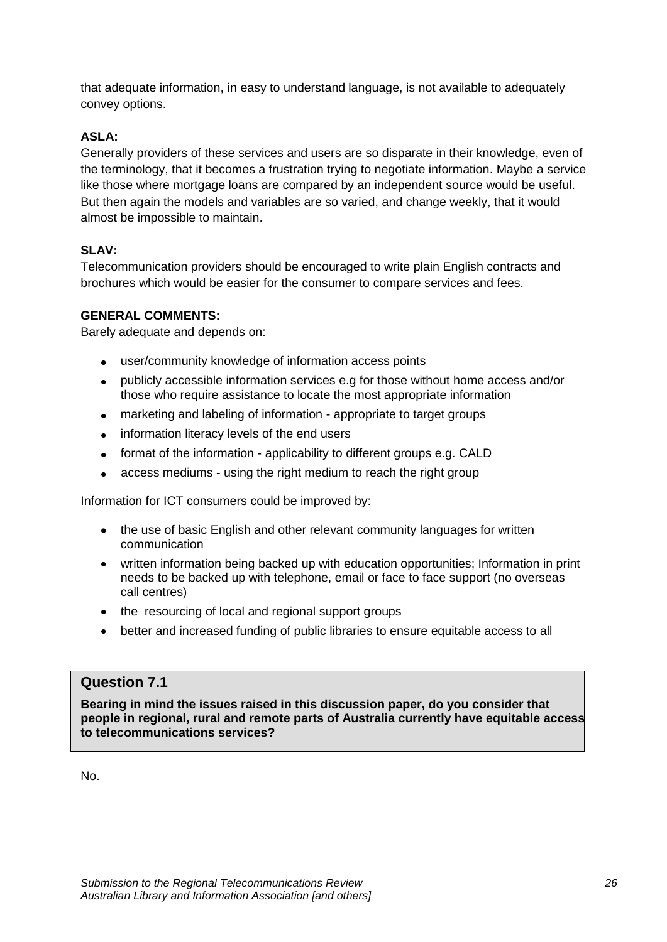that adequate information, in easy to understand language, is not available to adequately convey options.

## **ASLA:**

Generally providers of these services and users are so disparate in their knowledge, even of the terminology, that it becomes a frustration trying to negotiate information. Maybe a service like those where mortgage loans are compared by an independent source would be useful. But then again the models and variables are so varied, and change weekly, that it would almost be impossible to maintain.

## **SLAV:**

Telecommunication providers should be encouraged to write plain English contracts and brochures which would be easier for the consumer to compare services and fees.

## **GENERAL COMMENTS:**

Barely adequate and depends on:

- user/community knowledge of information access points  $\bullet$
- publicly accessible information services e.g for those without home access and/or those who require assistance to locate the most appropriate information
- marketing and labeling of information appropriate to target groups  $\bullet$
- information literacy levels of the end users  $\bullet$
- format of the information applicability to different groups e.g. CALD
- access mediums using the right medium to reach the right group  $\bullet$

Information for ICT consumers could be improved by:

- the use of basic English and other relevant community languages for written communication
- written information being backed up with education opportunities; Information in print needs to be backed up with telephone, email or face to face support (no overseas call centres)
- the resourcing of local and regional support groups
- better and increased funding of public libraries to ensure equitable access to all

# **Question 7.1**

**Bearing in mind the issues raised in this discussion paper, do you consider that people in regional, rural and remote parts of Australia currently have equitable access to telecommunications services?**

No.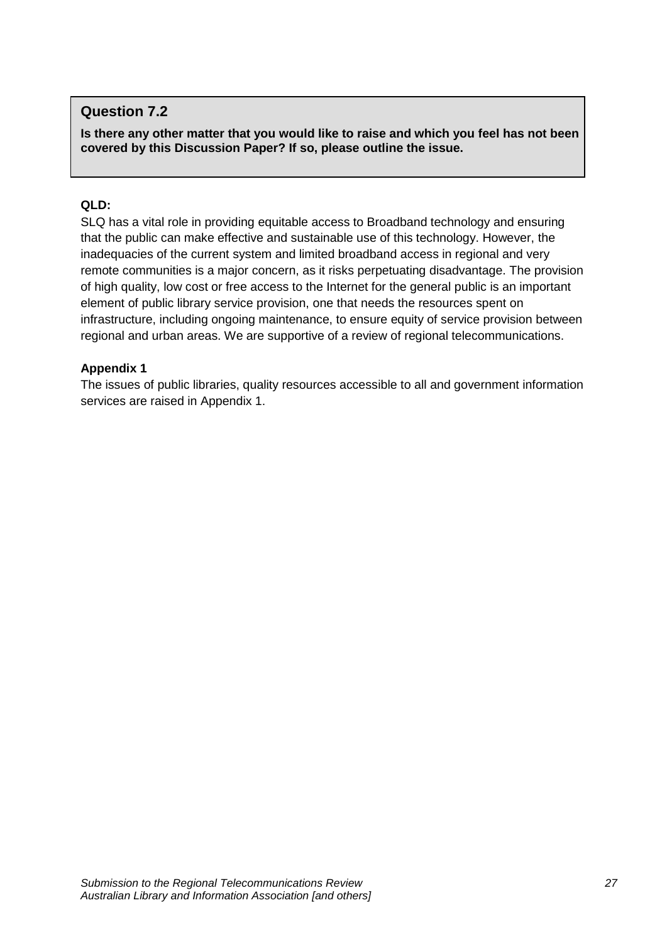## **Question 7.2**

**Is there any other matter that you would like to raise and which you feel has not been covered by this Discussion Paper? If so, please outline the issue.**

#### **QLD:**

SLQ has a vital role in providing equitable access to Broadband technology and ensuring that the public can make effective and sustainable use of this technology. However, the inadequacies of the current system and limited broadband access in regional and very remote communities is a major concern, as it risks perpetuating disadvantage. The provision of high quality, low cost or free access to the Internet for the general public is an important element of public library service provision, one that needs the resources spent on infrastructure, including ongoing maintenance, to ensure equity of service provision between regional and urban areas. We are supportive of a review of regional telecommunications.

#### **Appendix 1**

The issues of public libraries, quality resources accessible to all and government information services are raised in Appendix 1.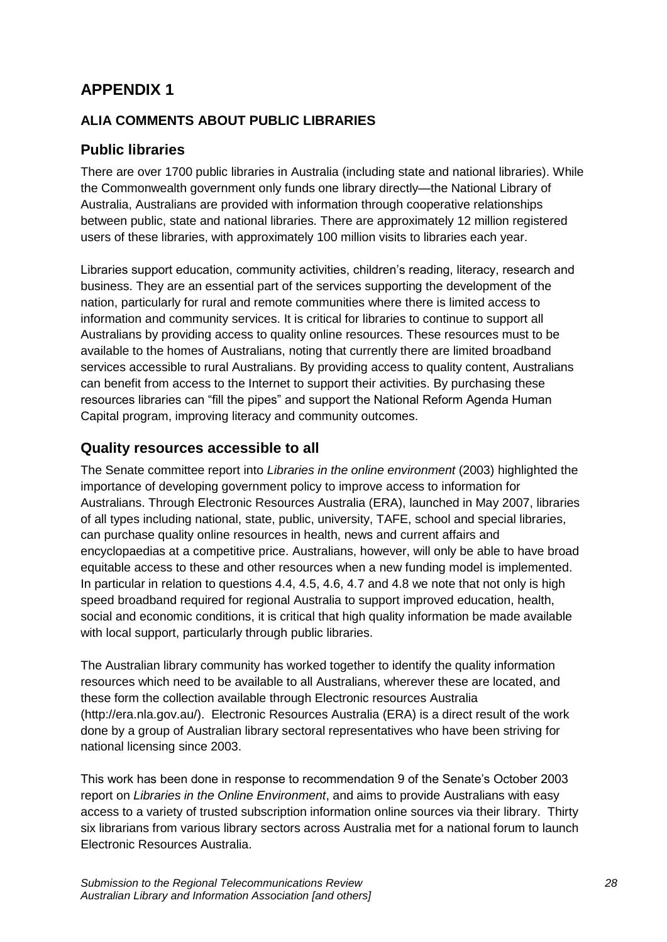# **APPENDIX 1**

# **ALIA COMMENTS ABOUT PUBLIC LIBRARIES**

# **Public libraries**

There are over 1700 public libraries in Australia (including state and national libraries). While the Commonwealth government only funds one library directly—the National Library of Australia, Australians are provided with information through cooperative relationships between public, state and national libraries. There are approximately 12 million registered users of these libraries, with approximately 100 million visits to libraries each year.

Libraries support education, community activities, children's reading, literacy, research and business. They are an essential part of the services supporting the development of the nation, particularly for rural and remote communities where there is limited access to information and community services. It is critical for libraries to continue to support all Australians by providing access to quality online resources. These resources must to be available to the homes of Australians, noting that currently there are limited broadband services accessible to rural Australians. By providing access to quality content, Australians can benefit from access to the Internet to support their activities. By purchasing these resources libraries can "fill the pipes" and support the National Reform Agenda Human Capital program, improving literacy and community outcomes.

## **Quality resources accessible to all**

The Senate committee report into *Libraries in the online environment* (2003) highlighted the importance of developing government policy to improve access to information for Australians. Through Electronic Resources Australia (ERA), launched in May 2007, libraries of all types including national, state, public, university, TAFE, school and special libraries, can purchase quality online resources in health, news and current affairs and encyclopaedias at a competitive price. Australians, however, will only be able to have broad equitable access to these and other resources when a new funding model is implemented. In particular in relation to questions 4.4, 4.5, 4.6, 4.7 and 4.8 we note that not only is high speed broadband required for regional Australia to support improved education, health, social and economic conditions, it is critical that high quality information be made available with local support, particularly through public libraries.

The Australian library community has worked together to identify the quality information resources which need to be available to all Australians, wherever these are located, and these form the collection available through Electronic resources Australia (http://era.nla.gov.au/). Electronic Resources Australia (ERA) is a direct result of the work done by a group of Australian library sectoral representatives who have been striving for national licensing since 2003.

This work has been done in response to recommendation 9 of the Senate's October 2003 report on *Libraries in the Online Environment*, and aims to provide Australians with easy access to a variety of trusted subscription information online sources via their library. Thirty six librarians from various library sectors across Australia met for a national forum to launch Electronic Resources Australia.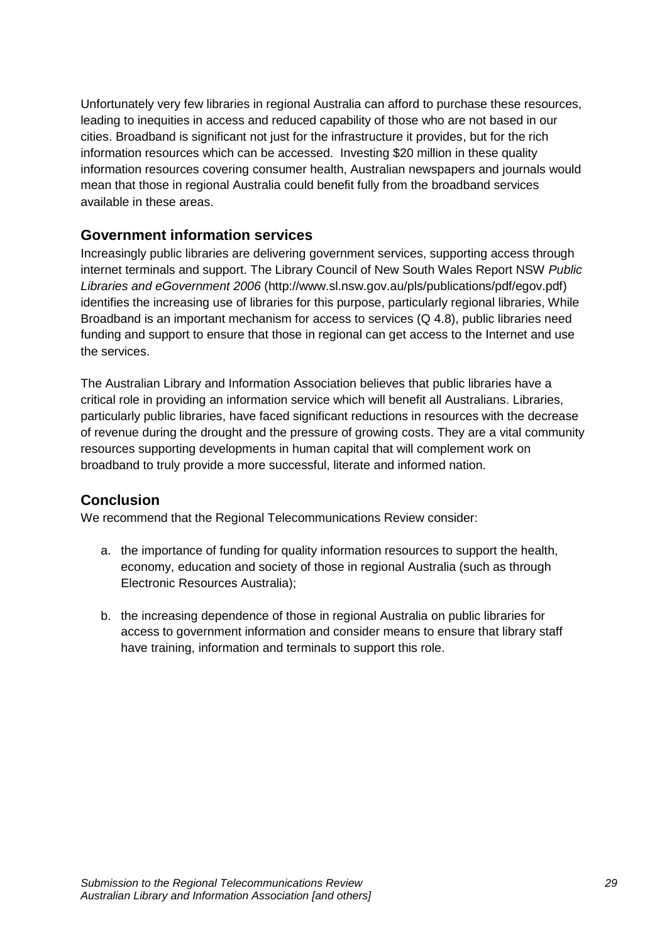Unfortunately very few libraries in regional Australia can afford to purchase these resources, leading to inequities in access and reduced capability of those who are not based in our cities. Broadband is significant not just for the infrastructure it provides, but for the rich information resources which can be accessed. Investing \$20 million in these quality information resources covering consumer health, Australian newspapers and journals would mean that those in regional Australia could benefit fully from the broadband services available in these areas.

## **Government information services**

Increasingly public libraries are delivering government services, supporting access through internet terminals and support. The Library Council of New South Wales Report NSW *Public Libraries and eGovernment 2006* (http://www.sl.nsw.gov.au/pls/publications/pdf/egov.pdf) identifies the increasing use of libraries for this purpose, particularly regional libraries, While Broadband is an important mechanism for access to services (Q 4.8), public libraries need funding and support to ensure that those in regional can get access to the Internet and use the services.

The Australian Library and Information Association believes that public libraries have a critical role in providing an information service which will benefit all Australians. Libraries, particularly public libraries, have faced significant reductions in resources with the decrease of revenue during the drought and the pressure of growing costs. They are a vital community resources supporting developments in human capital that will complement work on broadband to truly provide a more successful, literate and informed nation.

# **Conclusion**

We recommend that the Regional Telecommunications Review consider:

- a. the importance of funding for quality information resources to support the health, economy, education and society of those in regional Australia (such as through Electronic Resources Australia);
- b. the increasing dependence of those in regional Australia on public libraries for access to government information and consider means to ensure that library staff have training, information and terminals to support this role.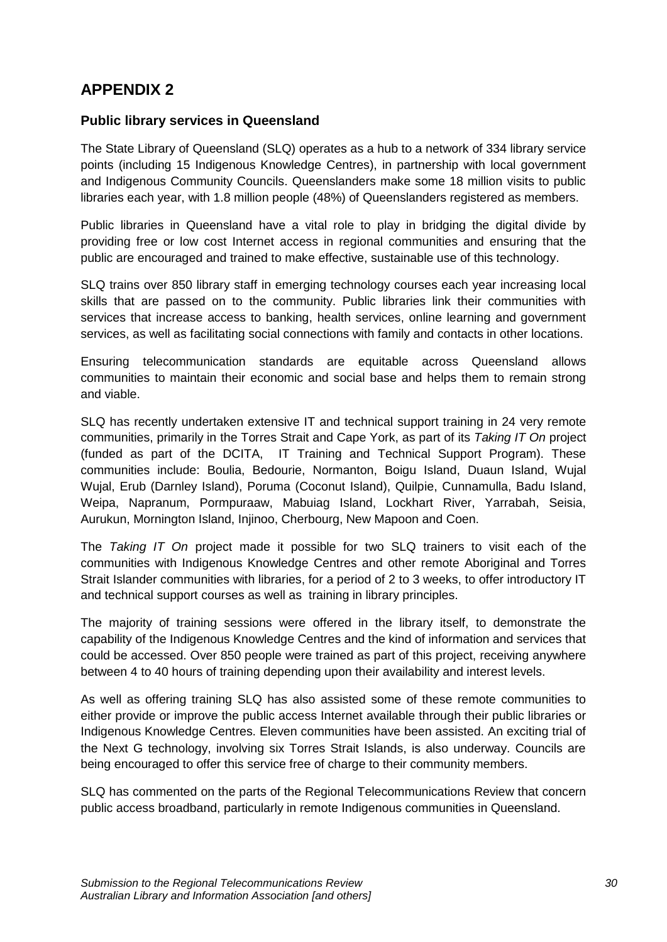# **APPENDIX 2**

## **Public library services in Queensland**

The State Library of Queensland (SLQ) operates as a hub to a network of 334 library service points (including 15 Indigenous Knowledge Centres), in partnership with local government and Indigenous Community Councils. Queenslanders make some 18 million visits to public libraries each year, with 1.8 million people (48%) of Queenslanders registered as members.

Public libraries in Queensland have a vital role to play in bridging the digital divide by providing free or low cost Internet access in regional communities and ensuring that the public are encouraged and trained to make effective, sustainable use of this technology.

SLQ trains over 850 library staff in emerging technology courses each year increasing local skills that are passed on to the community. Public libraries link their communities with services that increase access to banking, health services, online learning and government services, as well as facilitating social connections with family and contacts in other locations.

Ensuring telecommunication standards are equitable across Queensland allows communities to maintain their economic and social base and helps them to remain strong and viable.

SLQ has recently undertaken extensive IT and technical support training in 24 very remote communities, primarily in the Torres Strait and Cape York, as part of its *Taking IT On* project (funded as part of the DCITA, IT Training and Technical Support Program). These communities include: Boulia, Bedourie, Normanton, Boigu Island, Duaun Island, Wujal Wujal, Erub (Darnley Island), Poruma (Coconut Island), Quilpie, Cunnamulla, Badu Island, Weipa, Napranum, Pormpuraaw, Mabuiag Island, Lockhart River, Yarrabah, Seisia, Aurukun, Mornington Island, Injinoo, Cherbourg, New Mapoon and Coen.

The *Taking IT On* project made it possible for two SLQ trainers to visit each of the communities with Indigenous Knowledge Centres and other remote Aboriginal and Torres Strait Islander communities with libraries, for a period of 2 to 3 weeks, to offer introductory IT and technical support courses as well as training in library principles.

The majority of training sessions were offered in the library itself, to demonstrate the capability of the Indigenous Knowledge Centres and the kind of information and services that could be accessed. Over 850 people were trained as part of this project, receiving anywhere between 4 to 40 hours of training depending upon their availability and interest levels.

As well as offering training SLQ has also assisted some of these remote communities to either provide or improve the public access Internet available through their public libraries or Indigenous Knowledge Centres. Eleven communities have been assisted. An exciting trial of the Next G technology, involving six Torres Strait Islands, is also underway. Councils are being encouraged to offer this service free of charge to their community members.

SLQ has commented on the parts of the Regional Telecommunications Review that concern public access broadband, particularly in remote Indigenous communities in Queensland.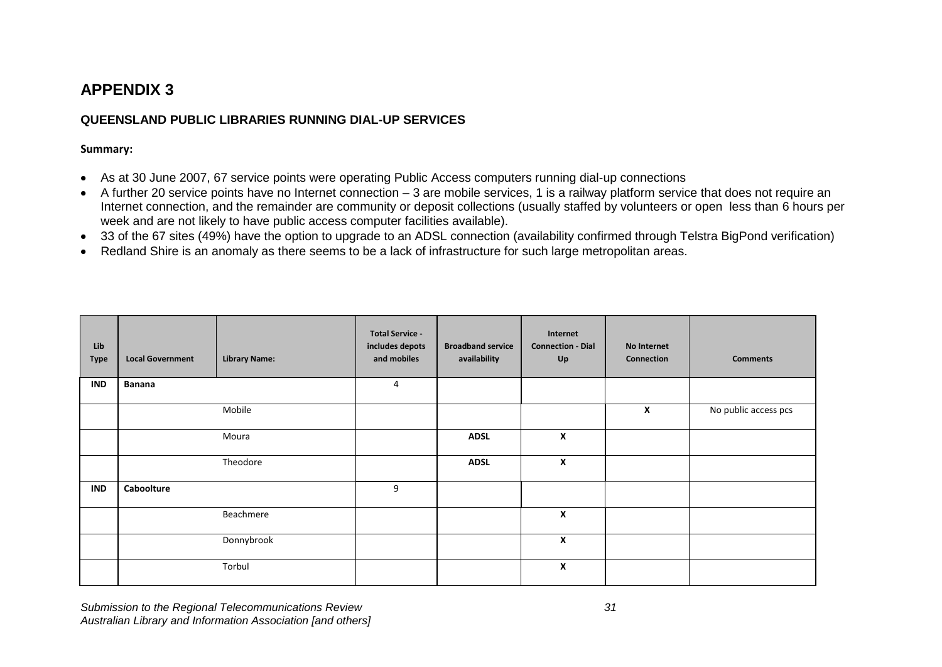# **APPENDIX 3**

#### **QUEENSLAND PUBLIC LIBRARIES RUNNING DIAL-UP SERVICES**

#### **Summary:**

- As at 30 June 2007, 67 service points were operating Public Access computers running dial-up connections  $\bullet$
- A further 20 service points have no Internet connection 3 are mobile services, 1 is a railway platform service that does not require an  $\bullet$ Internet connection, and the remainder are community or deposit collections (usually staffed by volunteers or open less than 6 hours per week and are not likely to have public access computer facilities available).
- 33 of the 67 sites (49%) have the option to upgrade to an ADSL connection (availability confirmed through Telstra BigPond verification)
- Redland Shire is an anomaly as there seems to be a lack of infrastructure for such large metropolitan areas.  $\bullet$

| Lib<br><b>Type</b> | <b>Local Government</b> | <b>Library Name:</b> | <b>Total Service -</b><br>includes depots<br>and mobiles | <b>Broadband service</b><br>availability | Internet<br><b>Connection - Dial</b><br>Up | No Internet<br>Connection | <b>Comments</b>      |
|--------------------|-------------------------|----------------------|----------------------------------------------------------|------------------------------------------|--------------------------------------------|---------------------------|----------------------|
| <b>IND</b>         | <b>Banana</b>           |                      | 4                                                        |                                          |                                            |                           |                      |
|                    |                         | Mobile               |                                                          |                                          |                                            | X                         | No public access pcs |
|                    |                         | Moura                |                                                          | <b>ADSL</b>                              | X                                          |                           |                      |
|                    |                         | Theodore             |                                                          | <b>ADSL</b>                              | X                                          |                           |                      |
| <b>IND</b>         | Caboolture              |                      | 9                                                        |                                          |                                            |                           |                      |
|                    |                         | Beachmere            |                                                          |                                          | X                                          |                           |                      |
|                    |                         | Donnybrook           |                                                          |                                          | X                                          |                           |                      |
|                    |                         | Torbul               |                                                          |                                          | X                                          |                           |                      |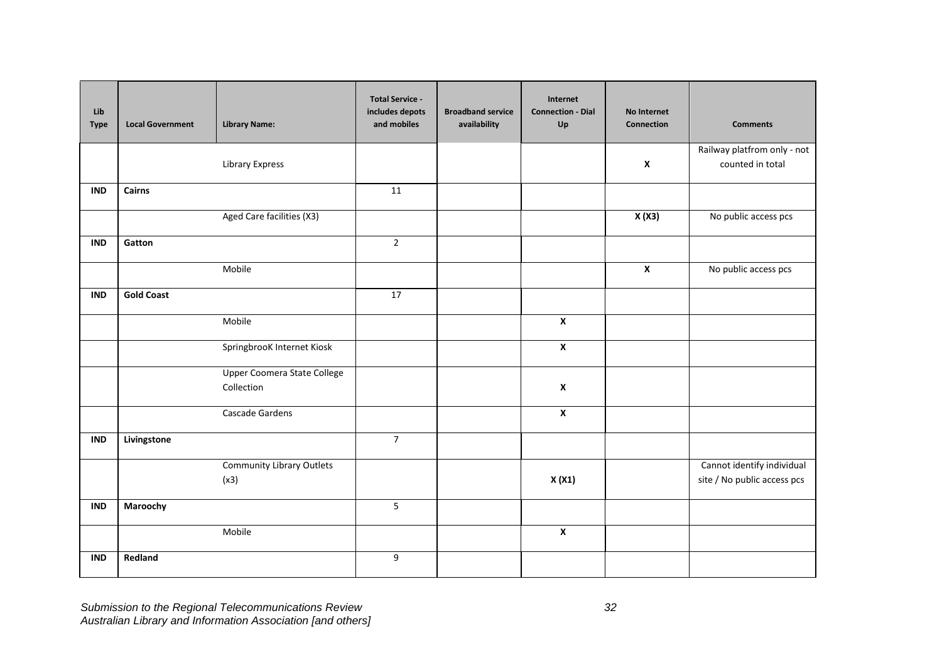| Lib<br><b>Type</b> | <b>Local Government</b> | <b>Library Name:</b>                             | <b>Total Service -</b><br>includes depots<br>and mobiles | <b>Broadband service</b><br>availability | Internet<br><b>Connection - Dial</b><br>Up | No Internet<br>Connection | <b>Comments</b>                                           |
|--------------------|-------------------------|--------------------------------------------------|----------------------------------------------------------|------------------------------------------|--------------------------------------------|---------------------------|-----------------------------------------------------------|
|                    |                         | <b>Library Express</b>                           |                                                          |                                          |                                            | $\boldsymbol{\mathsf{x}}$ | Railway platfrom only - not<br>counted in total           |
| <b>IND</b>         | Cairns                  |                                                  | 11                                                       |                                          |                                            |                           |                                                           |
|                    |                         | Aged Care facilities (X3)                        |                                                          |                                          |                                            | X(X3)                     | No public access pcs                                      |
| <b>IND</b>         | Gatton                  |                                                  | $\overline{2}$                                           |                                          |                                            |                           |                                                           |
|                    |                         | Mobile                                           |                                                          |                                          |                                            | $\overline{\mathbf{x}}$   | No public access pcs                                      |
| <b>IND</b>         | <b>Gold Coast</b>       |                                                  | 17                                                       |                                          |                                            |                           |                                                           |
|                    |                         | Mobile                                           |                                                          |                                          | $\overline{\mathbf{x}}$                    |                           |                                                           |
|                    |                         | SpringbrooK Internet Kiosk                       |                                                          |                                          | $\pmb{\mathsf{X}}$                         |                           |                                                           |
|                    |                         | <b>Upper Coomera State College</b><br>Collection |                                                          |                                          | $\pmb{\chi}$                               |                           |                                                           |
|                    |                         | Cascade Gardens                                  |                                                          |                                          | $\pmb{\chi}$                               |                           |                                                           |
| <b>IND</b>         | Livingstone             |                                                  | $\overline{7}$                                           |                                          |                                            |                           |                                                           |
|                    |                         | <b>Community Library Outlets</b><br>(x3)         |                                                          |                                          | X(X1)                                      |                           | Cannot identify individual<br>site / No public access pcs |
| <b>IND</b>         | Maroochy                |                                                  | $\overline{5}$                                           |                                          |                                            |                           |                                                           |
|                    |                         | Mobile                                           |                                                          |                                          | $\pmb{\chi}$                               |                           |                                                           |
| <b>IND</b>         | Redland                 |                                                  | $\boldsymbol{9}$                                         |                                          |                                            |                           |                                                           |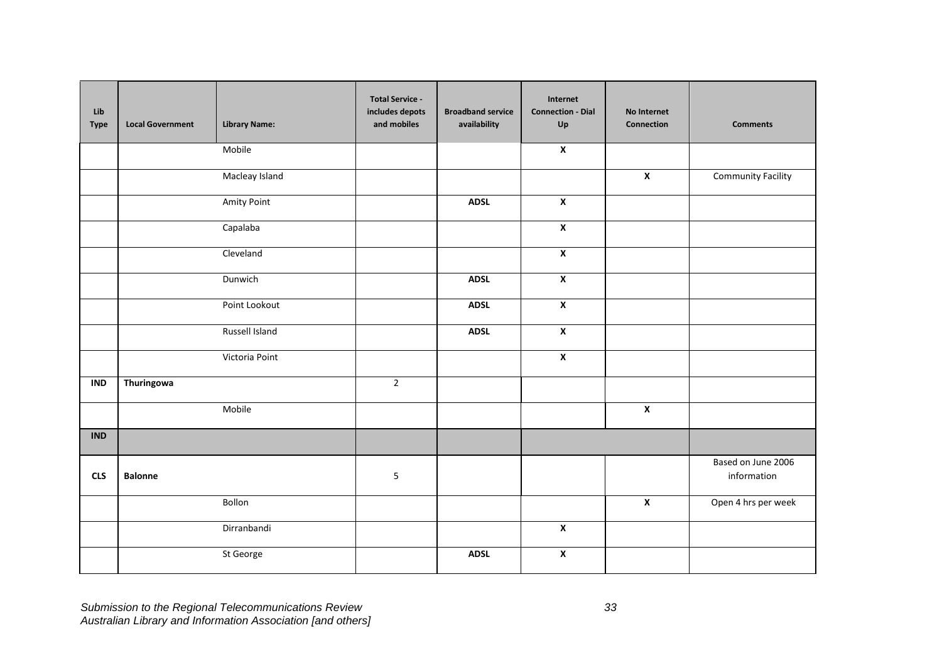| Lib<br><b>Type</b> | <b>Local Government</b> | <b>Library Name:</b> | <b>Total Service -</b><br>includes depots<br>and mobiles | <b>Broadband service</b><br>availability | Internet<br><b>Connection - Dial</b><br>Up | No Internet<br>Connection | <b>Comments</b>                   |
|--------------------|-------------------------|----------------------|----------------------------------------------------------|------------------------------------------|--------------------------------------------|---------------------------|-----------------------------------|
|                    |                         | Mobile               |                                                          |                                          | $\pmb{\mathsf{x}}$                         |                           |                                   |
|                    |                         | Macleay Island       |                                                          |                                          |                                            | $\boldsymbol{\mathsf{x}}$ | <b>Community Facility</b>         |
|                    |                         | <b>Amity Point</b>   |                                                          | <b>ADSL</b>                              | $\overline{\mathbf{x}}$                    |                           |                                   |
|                    |                         | Capalaba             |                                                          |                                          | $\overline{\mathbf{x}}$                    |                           |                                   |
|                    |                         | Cleveland            |                                                          |                                          | $\boldsymbol{x}$                           |                           |                                   |
|                    |                         | Dunwich              |                                                          | <b>ADSL</b>                              | $\pmb{\mathsf{X}}$                         |                           |                                   |
|                    |                         | Point Lookout        |                                                          | <b>ADSL</b>                              | $\overline{\mathbf{x}}$                    |                           |                                   |
|                    |                         | Russell Island       |                                                          | <b>ADSL</b>                              | $\pmb{\mathsf{X}}$                         |                           |                                   |
|                    |                         | Victoria Point       |                                                          |                                          | $\pmb{\mathsf{X}}$                         |                           |                                   |
| <b>IND</b>         | Thuringowa              |                      | $\mathbf 2$                                              |                                          |                                            |                           |                                   |
|                    |                         | Mobile               |                                                          |                                          |                                            | $\overline{\mathbf{x}}$   |                                   |
| <b>IND</b>         |                         |                      |                                                          |                                          |                                            |                           |                                   |
| <b>CLS</b>         | <b>Balonne</b>          |                      | $\overline{5}$                                           |                                          |                                            |                           | Based on June 2006<br>information |
|                    |                         | Bollon               |                                                          |                                          |                                            | $\pmb{\chi}$              | Open 4 hrs per week               |
|                    |                         | Dirranbandi          |                                                          |                                          | $\overline{\mathbf{x}}$                    |                           |                                   |
|                    |                         | St George            |                                                          | <b>ADSL</b>                              | $\overline{\mathbf{x}}$                    |                           |                                   |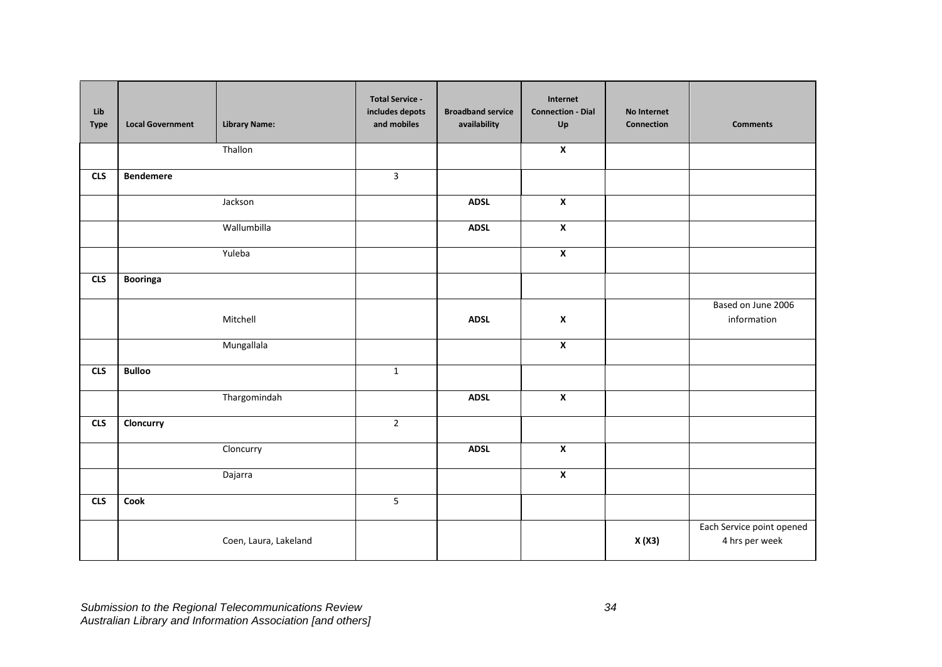| Lib<br><b>Type</b> | <b>Local Government</b> | <b>Library Name:</b>  | <b>Total Service -</b><br>includes depots<br>and mobiles | <b>Broadband service</b><br>availability | Internet<br><b>Connection - Dial</b><br>Up | No Internet<br><b>Connection</b> | <b>Comments</b>                             |
|--------------------|-------------------------|-----------------------|----------------------------------------------------------|------------------------------------------|--------------------------------------------|----------------------------------|---------------------------------------------|
|                    |                         | Thallon               |                                                          |                                          | $\mathbf{x}$                               |                                  |                                             |
| <b>CLS</b>         | <b>Bendemere</b>        |                       | $\overline{3}$                                           |                                          |                                            |                                  |                                             |
|                    |                         | Jackson               |                                                          | <b>ADSL</b>                              | $\overline{\mathbf{x}}$                    |                                  |                                             |
|                    |                         | Wallumbilla           |                                                          | <b>ADSL</b>                              | $\pmb{\mathsf{X}}$                         |                                  |                                             |
|                    |                         | Yuleba                |                                                          |                                          | $\pmb{\mathsf{x}}$                         |                                  |                                             |
| <b>CLS</b>         | Booringa                |                       |                                                          |                                          |                                            |                                  |                                             |
|                    |                         | Mitchell              |                                                          | <b>ADSL</b>                              | $\pmb{\mathsf{X}}$                         |                                  | Based on June 2006<br>information           |
|                    |                         | Mungallala            |                                                          |                                          | $\pmb{\mathsf{X}}$                         |                                  |                                             |
| <b>CLS</b>         | <b>Bulloo</b>           |                       | $\mathbf{1}$                                             |                                          |                                            |                                  |                                             |
|                    |                         | Thargomindah          |                                                          | <b>ADSL</b>                              | $\overline{\mathbf{x}}$                    |                                  |                                             |
| <b>CLS</b>         | Cloncurry               |                       | $\overline{2}$                                           |                                          |                                            |                                  |                                             |
|                    |                         | Cloncurry             |                                                          | <b>ADSL</b>                              | $\overline{\mathbf{x}}$                    |                                  |                                             |
|                    |                         | Dajarra               |                                                          |                                          | $\overline{\mathbf{x}}$                    |                                  |                                             |
| <b>CLS</b>         | Cook                    |                       | 5                                                        |                                          |                                            |                                  |                                             |
|                    |                         | Coen, Laura, Lakeland |                                                          |                                          |                                            | X(X3)                            | Each Service point opened<br>4 hrs per week |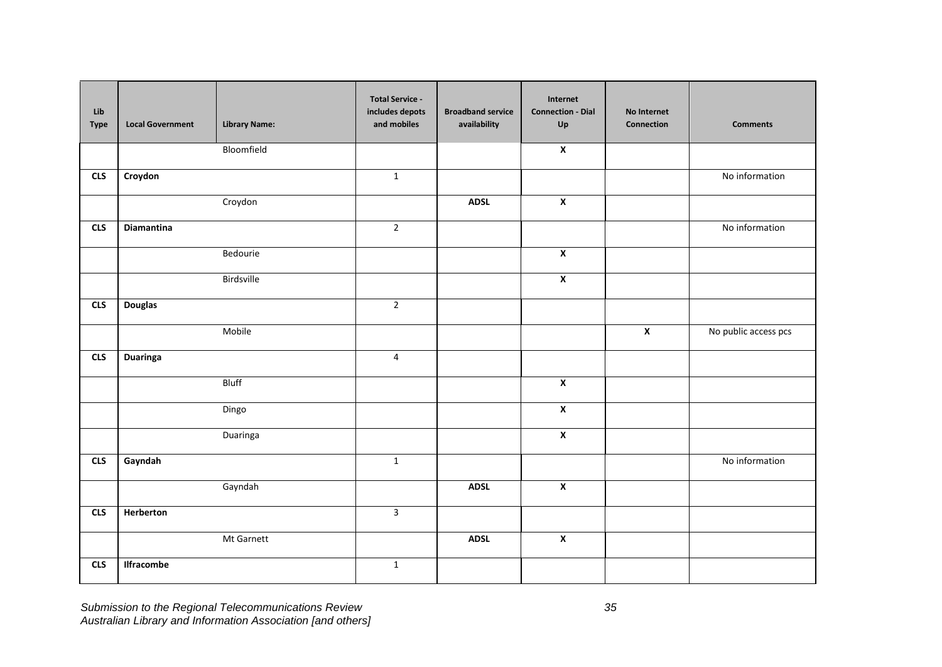| Lib<br><b>Type</b> | <b>Local Government</b> | <b>Library Name:</b> | <b>Total Service -</b><br>includes depots<br>and mobiles | <b>Broadband service</b><br>availability | Internet<br><b>Connection - Dial</b><br>$\mathsf{Up}$ | <b>No Internet</b><br>Connection | <b>Comments</b>      |
|--------------------|-------------------------|----------------------|----------------------------------------------------------|------------------------------------------|-------------------------------------------------------|----------------------------------|----------------------|
|                    |                         | Bloomfield           |                                                          |                                          | $\pmb{\mathsf{X}}$                                    |                                  |                      |
| <b>CLS</b>         | Croydon                 |                      | $\mathbf 1$                                              |                                          |                                                       |                                  | No information       |
|                    |                         | Croydon              |                                                          | <b>ADSL</b>                              | $\overline{\mathbf{x}}$                               |                                  |                      |
| <b>CLS</b>         | Diamantina              |                      | $\mathbf 2$                                              |                                          |                                                       |                                  | No information       |
|                    |                         | Bedourie             |                                                          |                                          | $\overline{\mathbf{x}}$                               |                                  |                      |
|                    |                         | Birdsville           |                                                          |                                          | $\overline{\mathbf{x}}$                               |                                  |                      |
| <b>CLS</b>         | <b>Douglas</b>          |                      | $\overline{2}$                                           |                                          |                                                       |                                  |                      |
|                    |                         | Mobile               |                                                          |                                          |                                                       | $\overline{\mathbf{x}}$          | No public access pcs |
| <b>CLS</b>         | <b>Duaringa</b>         |                      | $\overline{4}$                                           |                                          |                                                       |                                  |                      |
|                    |                         | <b>Bluff</b>         |                                                          |                                          | $\overline{\mathbf{x}}$                               |                                  |                      |
|                    |                         | Dingo                |                                                          |                                          | $\overline{\mathbf{x}}$                               |                                  |                      |
|                    |                         | Duaringa             |                                                          |                                          | $\overline{\mathbf{x}}$                               |                                  |                      |
| <b>CLS</b>         | Gayndah                 |                      | $\mathbf 1$                                              |                                          |                                                       |                                  | No information       |
|                    |                         | Gayndah              |                                                          | <b>ADSL</b>                              | $\overline{\mathbf{x}}$                               |                                  |                      |
| <b>CLS</b>         | Herberton               |                      | $\overline{3}$                                           |                                          |                                                       |                                  |                      |
|                    |                         | Mt Garnett           |                                                          | <b>ADSL</b>                              | $\pmb{\mathsf{X}}$                                    |                                  |                      |
| <b>CLS</b>         | <b>Ilfracombe</b>       |                      | $\mathbf{1}$                                             |                                          |                                                       |                                  |                      |

*Submission to the Regional Telecommunications Review 35 Australian Library and Information Association [and others]*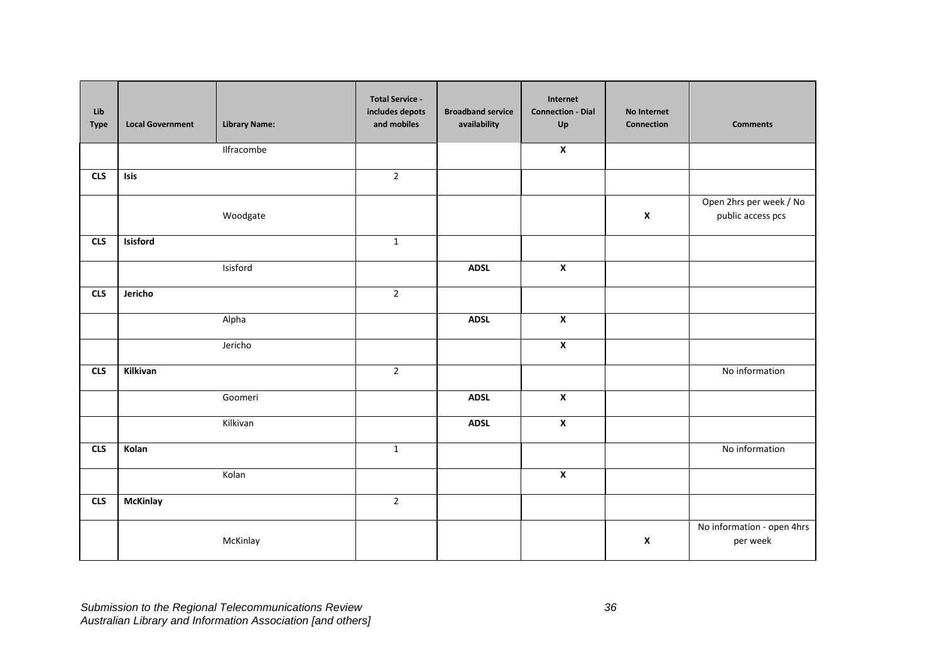| Lib<br><b>Type</b> | <b>Local Government</b> | <b>Library Name:</b> | <b>Total Service -</b><br>includes depots<br>and mobiles | <b>Broadband service</b><br>availability | Internet<br><b>Connection - Dial</b><br>Up | No Internet<br>Connection | <b>Comments</b>                              |
|--------------------|-------------------------|----------------------|----------------------------------------------------------|------------------------------------------|--------------------------------------------|---------------------------|----------------------------------------------|
|                    |                         | Ilfracombe           |                                                          |                                          | $\overline{\mathbf{x}}$                    |                           |                                              |
| <b>CLS</b>         | Isis                    |                      | $\overline{2}$                                           |                                          |                                            |                           |                                              |
|                    |                         | Woodgate             |                                                          |                                          |                                            | $\pmb{\chi}$              | Open 2hrs per week / No<br>public access pcs |
| <b>CLS</b>         | Isisford                |                      | $\mathbf 1$                                              |                                          |                                            |                           |                                              |
|                    |                         | Isisford             |                                                          | <b>ADSL</b>                              | $\overline{\mathbf{x}}$                    |                           |                                              |
| CLS                | Jericho                 |                      | $\overline{2}$                                           |                                          |                                            |                           |                                              |
|                    |                         | Alpha                |                                                          | <b>ADSL</b>                              | $\overline{\mathbf{x}}$                    |                           |                                              |
|                    |                         | Jericho              |                                                          |                                          | $\pmb{\mathsf{x}}$                         |                           |                                              |
| <b>CLS</b>         | Kilkivan                |                      | $\overline{2}$                                           |                                          |                                            |                           | No information                               |
|                    |                         | Goomeri              |                                                          | <b>ADSL</b>                              | $\overline{\mathbf{x}}$                    |                           |                                              |
|                    |                         | Kilkivan             |                                                          | <b>ADSL</b>                              | $\mathbf{x}$                               |                           |                                              |
| <b>CLS</b>         | Kolan                   |                      | $\mathbf{1}$                                             |                                          |                                            |                           | No information                               |
|                    |                         | Kolan                |                                                          |                                          | $\overline{\mathbf{x}}$                    |                           |                                              |
| CLS                | <b>McKinlay</b>         |                      | $\overline{2}$                                           |                                          |                                            |                           |                                              |
|                    |                         | McKinlay             |                                                          |                                          |                                            | $\pmb{\chi}$              | No information - open 4hrs<br>per week       |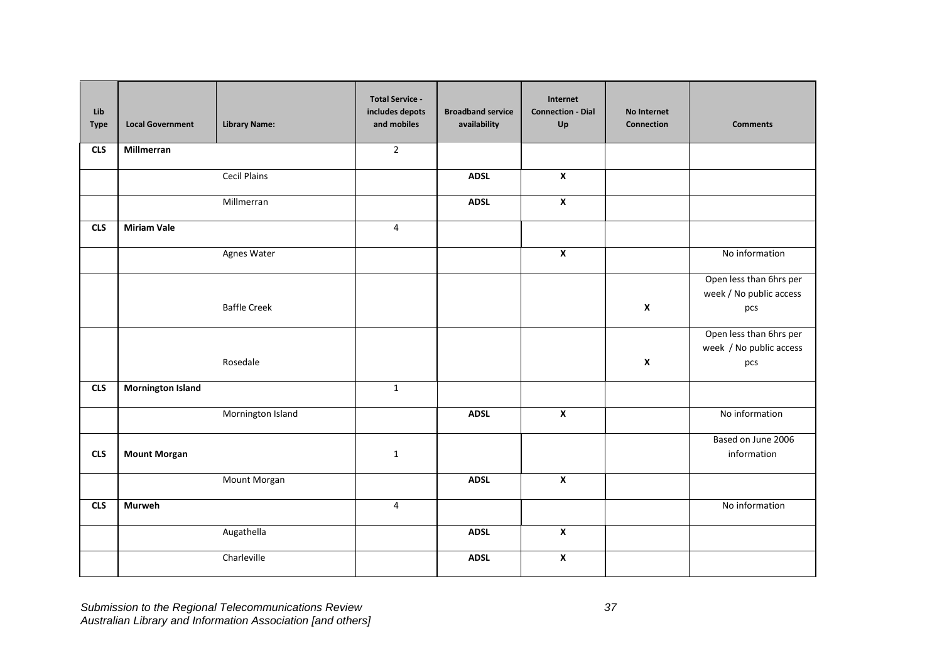| Lib<br><b>Type</b> | <b>Local Government</b>  | <b>Library Name:</b> | <b>Total Service -</b><br>includes depots<br>and mobiles | <b>Broadband service</b><br>availability | Internet<br><b>Connection - Dial</b><br>Up | No Internet<br>Connection | <b>Comments</b>                                           |
|--------------------|--------------------------|----------------------|----------------------------------------------------------|------------------------------------------|--------------------------------------------|---------------------------|-----------------------------------------------------------|
| <b>CLS</b>         | Millmerran               |                      | $\overline{2}$                                           |                                          |                                            |                           |                                                           |
|                    |                          | <b>Cecil Plains</b>  |                                                          | <b>ADSL</b>                              | $\boldsymbol{\mathsf{x}}$                  |                           |                                                           |
|                    |                          | Millmerran           |                                                          | <b>ADSL</b>                              | $\overline{\mathbf{x}}$                    |                           |                                                           |
| <b>CLS</b>         | <b>Miriam Vale</b>       |                      | 4                                                        |                                          |                                            |                           |                                                           |
|                    |                          | Agnes Water          |                                                          |                                          | $\pmb{\chi}$                               |                           | No information                                            |
|                    |                          | <b>Baffle Creek</b>  |                                                          |                                          |                                            | $\pmb{\mathsf{x}}$        | Open less than 6hrs per<br>week / No public access<br>pcs |
|                    |                          | Rosedale             |                                                          |                                          |                                            | X                         | Open less than 6hrs per<br>week / No public access<br>pcs |
| <b>CLS</b>         | <b>Mornington Island</b> |                      | $\mathbf{1}$                                             |                                          |                                            |                           |                                                           |
|                    |                          | Mornington Island    |                                                          | <b>ADSL</b>                              | $\pmb{\chi}$                               |                           | No information                                            |
| <b>CLS</b>         | <b>Mount Morgan</b>      |                      | $\mathbf{1}$                                             |                                          |                                            |                           | Based on June 2006<br>information                         |
|                    |                          | Mount Morgan         |                                                          | <b>ADSL</b>                              | $\boldsymbol{\mathsf{x}}$                  |                           |                                                           |
| <b>CLS</b>         | <b>Murweh</b>            |                      | 4                                                        |                                          |                                            |                           | No information                                            |
|                    |                          | Augathella           |                                                          | <b>ADSL</b>                              | $\overline{\mathbf{x}}$                    |                           |                                                           |
|                    |                          | Charleville          |                                                          | <b>ADSL</b>                              | $\pmb{\mathsf{X}}$                         |                           |                                                           |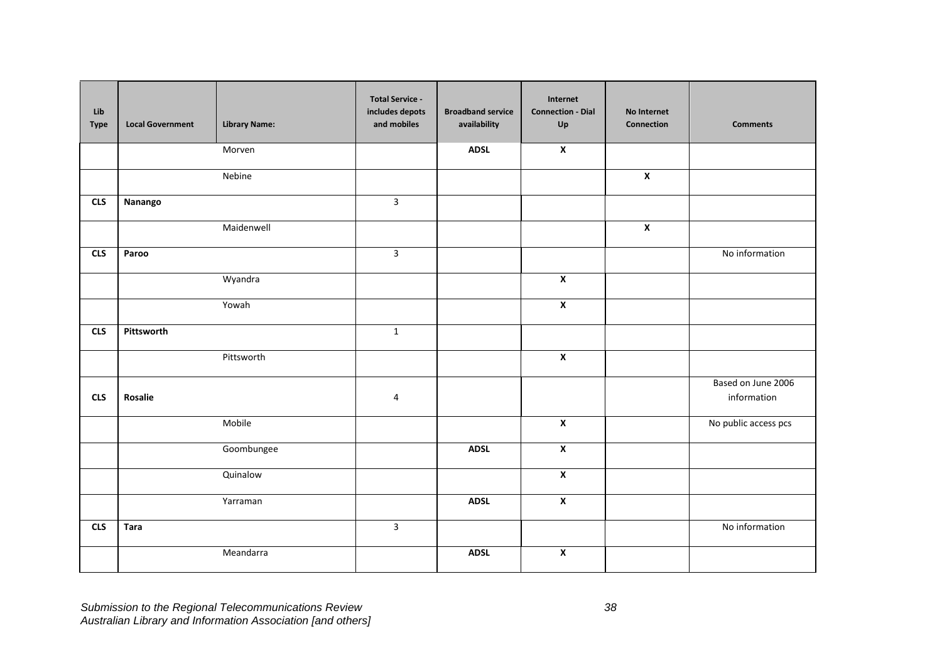| Lib<br><b>Type</b> | <b>Local Government</b> | <b>Library Name:</b> | <b>Total Service -</b><br>includes depots<br>and mobiles | <b>Broadband service</b><br>availability | Internet<br><b>Connection - Dial</b><br>$\mathsf{Up}$ | No Internet<br>Connection | <b>Comments</b>                   |
|--------------------|-------------------------|----------------------|----------------------------------------------------------|------------------------------------------|-------------------------------------------------------|---------------------------|-----------------------------------|
|                    |                         | Morven               |                                                          | <b>ADSL</b>                              | $\overline{\mathbf{x}}$                               |                           |                                   |
|                    |                         | Nebine               |                                                          |                                          |                                                       | $\boldsymbol{\mathsf{x}}$ |                                   |
| <b>CLS</b>         | Nanango                 |                      | $\overline{3}$                                           |                                          |                                                       |                           |                                   |
|                    |                         | Maidenwell           |                                                          |                                          |                                                       | $\overline{\mathbf{x}}$   |                                   |
| <b>CLS</b>         | Paroo                   |                      | $\overline{3}$                                           |                                          |                                                       |                           | No information                    |
|                    |                         | Wyandra              |                                                          |                                          | $\overline{\mathbf{x}}$                               |                           |                                   |
|                    |                         | Yowah                |                                                          |                                          | $\overline{\mathbf{x}}$                               |                           |                                   |
| <b>CLS</b>         | Pittsworth              |                      | $\mathbf 1$                                              |                                          |                                                       |                           |                                   |
|                    |                         | Pittsworth           |                                                          |                                          | $\pmb{\mathsf{X}}$                                    |                           |                                   |
| <b>CLS</b>         | Rosalie                 |                      | 4                                                        |                                          |                                                       |                           | Based on June 2006<br>information |
|                    |                         | Mobile               |                                                          |                                          | $\pmb{\chi}$                                          |                           | No public access pcs              |
|                    |                         | Goombungee           |                                                          | <b>ADSL</b>                              | $\pmb{\mathsf{X}}$                                    |                           |                                   |
|                    |                         | Quinalow             |                                                          |                                          | $\overline{\mathbf{x}}$                               |                           |                                   |
|                    |                         | Yarraman             |                                                          | <b>ADSL</b>                              | $\overline{\mathbf{x}}$                               |                           |                                   |
| <b>CLS</b>         | <b>Tara</b>             |                      | $\mathbf{3}$                                             |                                          |                                                       |                           | No information                    |
|                    |                         | Meandarra            |                                                          | <b>ADSL</b>                              | $\overline{\mathbf{x}}$                               |                           |                                   |